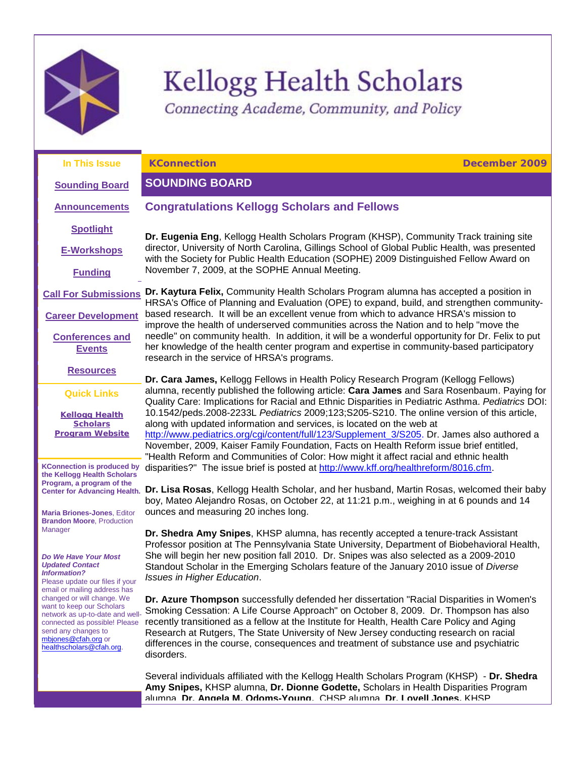

# Kellogg Health Scholars

<span id="page-0-1"></span><span id="page-0-0"></span>Connecting Academe, Community, and Policy

| In This Issue                                                                                                                                                                                                                                                                                                             | <b>KConnection</b><br>December 2009                                                                                                                                                                                                                                                                                                                                                                                                                                                                                                                                                                                                                                                                                                     |
|---------------------------------------------------------------------------------------------------------------------------------------------------------------------------------------------------------------------------------------------------------------------------------------------------------------------------|-----------------------------------------------------------------------------------------------------------------------------------------------------------------------------------------------------------------------------------------------------------------------------------------------------------------------------------------------------------------------------------------------------------------------------------------------------------------------------------------------------------------------------------------------------------------------------------------------------------------------------------------------------------------------------------------------------------------------------------------|
| <b>Sounding Board</b>                                                                                                                                                                                                                                                                                                     | <b>SOUNDING BOARD</b>                                                                                                                                                                                                                                                                                                                                                                                                                                                                                                                                                                                                                                                                                                                   |
| <b>Announcements</b>                                                                                                                                                                                                                                                                                                      | <b>Congratulations Kellogg Scholars and Fellows</b>                                                                                                                                                                                                                                                                                                                                                                                                                                                                                                                                                                                                                                                                                     |
| <b>Spotlight</b>                                                                                                                                                                                                                                                                                                          | Dr. Eugenia Eng, Kellogg Health Scholars Program (KHSP), Community Track training site<br>director, University of North Carolina, Gillings School of Global Public Health, was presented<br>with the Society for Public Health Education (SOPHE) 2009 Distinguished Fellow Award on                                                                                                                                                                                                                                                                                                                                                                                                                                                     |
| <b>E-Workshops</b>                                                                                                                                                                                                                                                                                                        |                                                                                                                                                                                                                                                                                                                                                                                                                                                                                                                                                                                                                                                                                                                                         |
| <b>Funding</b>                                                                                                                                                                                                                                                                                                            | November 7, 2009, at the SOPHE Annual Meeting.                                                                                                                                                                                                                                                                                                                                                                                                                                                                                                                                                                                                                                                                                          |
| <b>Call For Submissions</b>                                                                                                                                                                                                                                                                                               | Dr. Kaytura Felix, Community Health Scholars Program alumna has accepted a position in<br>HRSA's Office of Planning and Evaluation (OPE) to expand, build, and strengthen community-                                                                                                                                                                                                                                                                                                                                                                                                                                                                                                                                                    |
| <b>Career Development</b>                                                                                                                                                                                                                                                                                                 | based research. It will be an excellent venue from which to advance HRSA's mission to<br>improve the health of underserved communities across the Nation and to help "move the                                                                                                                                                                                                                                                                                                                                                                                                                                                                                                                                                          |
| <b>Conferences and</b><br><b>Events</b>                                                                                                                                                                                                                                                                                   | needle" on community health. In addition, it will be a wonderful opportunity for Dr. Felix to put<br>her knowledge of the health center program and expertise in community-based participatory<br>research in the service of HRSA's programs.                                                                                                                                                                                                                                                                                                                                                                                                                                                                                           |
| <b>Resources</b>                                                                                                                                                                                                                                                                                                          | Dr. Cara James, Kellogg Fellows in Health Policy Research Program (Kellogg Fellows)                                                                                                                                                                                                                                                                                                                                                                                                                                                                                                                                                                                                                                                     |
| <b>Quick Links</b>                                                                                                                                                                                                                                                                                                        | alumna, recently published the following article: Cara James and Sara Rosenbaum. Paying for<br>Quality Care: Implications for Racial and Ethnic Disparities in Pediatric Asthma. Pediatrics DOI:                                                                                                                                                                                                                                                                                                                                                                                                                                                                                                                                        |
| <b>Kellogg Health</b><br><b>Scholars</b><br><b>Program Website</b>                                                                                                                                                                                                                                                        | 10.1542/peds.2008-2233L Pediatrics 2009;123;S205-S210. The online version of this article,<br>along with updated information and services, is located on the web at<br>http://www.pediatrics.org/cgi/content/full/123/Supplement_3/S205. Dr. James also authored a<br>November, 2009, Kaiser Family Foundation, Facts on Health Reform issue brief entitled,<br>"Health Reform and Communities of Color: How might it affect racial and ethnic health<br>disparities?" The issue brief is posted at http://www.kff.org/healthreform/8016.cfm.<br>Dr. Lisa Rosas, Kellogg Health Scholar, and her husband, Martin Rosas, welcomed their baby<br>boy, Mateo Alejandro Rosas, on October 22, at 11:21 p.m., weighing in at 6 pounds and 14 |
| <b>KConnection is produced by</b><br>the Kellogg Health Scholars<br>Program, a program of the<br><b>Center for Advancing Health.</b>                                                                                                                                                                                      |                                                                                                                                                                                                                                                                                                                                                                                                                                                                                                                                                                                                                                                                                                                                         |
| <b>Maria Briones-Jones, Editor</b><br><b>Brandon Moore, Production</b>                                                                                                                                                                                                                                                    | ounces and measuring 20 inches long.                                                                                                                                                                                                                                                                                                                                                                                                                                                                                                                                                                                                                                                                                                    |
| Manager<br>Do We Have Your Most                                                                                                                                                                                                                                                                                           | Dr. Shedra Amy Snipes, KHSP alumna, has recently accepted a tenure-track Assistant<br>Professor position at The Pennsylvania State University, Department of Biobehavioral Health,<br>She will begin her new position fall 2010. Dr. Snipes was also selected as a 2009-2010                                                                                                                                                                                                                                                                                                                                                                                                                                                            |
| <b>Updated Contact</b><br><b>Information?</b><br>Please update our files if your<br>email or mailing address has<br>changed or will change. We<br>want to keep our Scholars<br>network as up-to-date and well-<br>connected as possible! Please<br>send any changes to<br>mbjones@cfah.org or<br>healthscholars@cfah.org. | Standout Scholar in the Emerging Scholars feature of the January 2010 issue of Diverse<br>Issues in Higher Education.                                                                                                                                                                                                                                                                                                                                                                                                                                                                                                                                                                                                                   |
|                                                                                                                                                                                                                                                                                                                           | Dr. Azure Thompson successfully defended her dissertation "Racial Disparities in Women's<br>Smoking Cessation: A Life Course Approach" on October 8, 2009. Dr. Thompson has also<br>recently transitioned as a fellow at the Institute for Health, Health Care Policy and Aging<br>Research at Rutgers, The State University of New Jersey conducting research on racial<br>differences in the course, consequences and treatment of substance use and psychiatric<br>disorders.                                                                                                                                                                                                                                                        |
|                                                                                                                                                                                                                                                                                                                           | Several individuals affiliated with the Kellogg Health Scholars Program (KHSP) - Dr. Shedra<br>Amy Snipes, KHSP alumna, Dr. Dionne Godette, Scholars in Health Disparities Program<br>alumna Dr Annela M Odoms-Young CHSP alumna Dr Lovell Jones KHSP                                                                                                                                                                                                                                                                                                                                                                                                                                                                                   |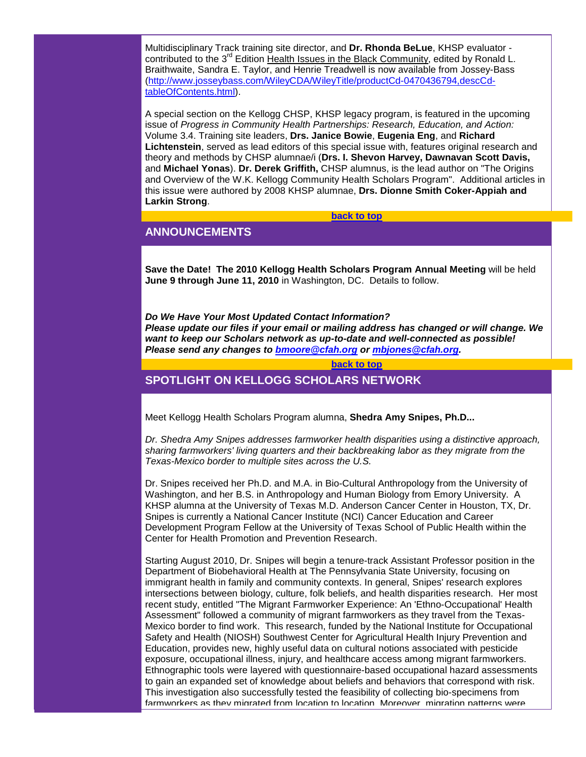Multidisciplinary Track training site director, and **Dr. Rhonda BeLue**, KHSP evaluator contributed to the  $3^{rd}$  Edition Health Issues in the Black Community, edited by Ronald L. Braithwaite, Sandra E. Taylor, and Henrie Treadwell is now available from Jossey-Bass [\(http://www.josseybass.com/WileyCDA/WileyTitle/productCd-0470436794,descCd](http://rs6.net/tn.jsp?et=1102879386537&s=1&e=001kE47ijvqqg4kve13bcBu40J_TKyxVEal3kfX72Zx6CvrcaTHoHSDABbk7T69pV_k1ymzVIRISmxIU18jkrN2XFTgnmGAhQ4WWXD1-OSFUE-fyh-GoReVxEsGj4f_WDXTSlg-rb0223Ik7IRiqf17Ns3H3SIf1pEPaQPhfiv3sl8Hwwqa9dPtru2FJl-2stR78WUn-UFdXRvrSaLjn2tVAA==)[tableOfContents.html\)](http://rs6.net/tn.jsp?et=1102879386537&s=1&e=001kE47ijvqqg4kve13bcBu40J_TKyxVEal3kfX72Zx6CvrcaTHoHSDABbk7T69pV_k1ymzVIRISmxIU18jkrN2XFTgnmGAhQ4WWXD1-OSFUE-fyh-GoReVxEsGj4f_WDXTSlg-rb0223Ik7IRiqf17Ns3H3SIf1pEPaQPhfiv3sl8Hwwqa9dPtru2FJl-2stR78WUn-UFdXRvrSaLjn2tVAA==).

A special section on the Kellogg CHSP, KHSP legacy program, is featured in the upcoming issue of *Progress in Community Health Partnerships: Research, Education, and Action:* Volume 3.4. Training site leaders, **Drs. Janice Bowie**, **Eugenia Eng**, and **Richard Lichtenstein**, served as lead editors of this special issue with, features original research and theory and methods by CHSP alumnae/i (**Drs. I. Shevon Harvey, Dawnavan Scott Davis,**  and **Michael Yonas**). **Dr. Derek Griffith,** CHSP alumnus, is the lead author on "The Origins and Overview of the W.K. Kellogg Community Health Scholars Program". Additional articles in this issue were authored by 2008 KHSP alumnae, **Drs. Dionne Smith Coker-Appiah and Larkin Strong**.

#### **[back to top](#page-0-1)**

# <span id="page-1-0"></span>**ANNOUNCEMENTS**

**Save the Date! The 2010 Kellogg Health Scholars Program Annual Meeting** will be held **June 9 through June 11, 2010** in Washington, DC. Details to follow.

*Do We Have Your Most Updated Contact Information? Please update our files if your email or mailing address has changed or will change. We want to keep our Scholars network as up-to-date and well-connected as possible! Please send any changes to [bmoore@cfah.org](mailto:bmoore@cfah.org) or [mbjones@cfah.org.](mailto:mbjones@cfah.org)* 

#### **[back to top](#page-0-1)**

# <span id="page-1-1"></span>**SPOTLIGHT ON KELLOGG SCHOLARS NETWORK**

Meet Kellogg Health Scholars Program alumna, **Shedra Amy Snipes, Ph.D...**

*Dr. Shedra Amy Snipes addresses farmworker health disparities using a distinctive approach, sharing farmworkers' living quarters and their backbreaking labor as they migrate from the Texas-Mexico border to multiple sites across the U.S.* 

Dr. Snipes received her Ph.D. and M.A. in Bio-Cultural Anthropology from the University of Washington, and her B.S. in Anthropology and Human Biology from Emory University. A KHSP alumna at the University of Texas M.D. Anderson Cancer Center in Houston, TX, Dr. Snipes is currently a National Cancer Institute (NCI) Cancer Education and Career Development Program Fellow at the University of Texas School of Public Health within the Center for Health Promotion and Prevention Research.

Starting August 2010, Dr. Snipes will begin a tenure-track Assistant Professor position in the Department of Biobehavioral Health at The Pennsylvania State University, focusing on immigrant health in family and community contexts. In general, Snipes' research explores intersections between biology, culture, folk beliefs, and health disparities research. Her most recent study, entitled "The Migrant Farmworker Experience: An 'Ethno-Occupational' Health Assessment" followed a community of migrant farmworkers as they travel from the Texas-Mexico border to find work. This research, funded by the National Institute for Occupational Safety and Health (NIOSH) Southwest Center for Agricultural Health Injury Prevention and Education, provides new, highly useful data on cultural notions associated with pesticide exposure, occupational illness, injury, and healthcare access among migrant farmworkers. Ethnographic tools were layered with questionnaire-based occupational hazard assessments to gain an expanded set of knowledge about beliefs and behaviors that correspond with risk. This investigation also successfully tested the feasibility of collecting bio-specimens from farmworkers as they migrated from location to location. Moreover, migration patterns were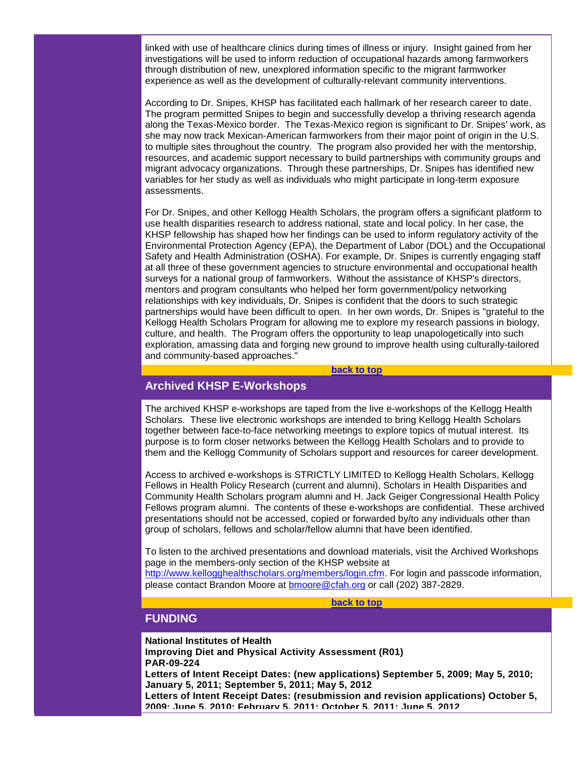linked with use of healthcare clinics during times of illness or injury. Insight gained from her investigations will be used to inform reduction of occupational hazards among farmworkers through distribution of new, unexplored information specific to the migrant farmworker experience as well as the development of culturally-relevant community interventions.

According to Dr. Snipes, KHSP has facilitated each hallmark of her research career to date. The program permitted Snipes to begin and successfully develop a thriving research agenda along the Texas-Mexico border. The Texas-Mexico region is significant to Dr. Snipes' work, as she may now track Mexican-American farmworkers from their major point of origin in the U.S. to multiple sites throughout the country. The program also provided her with the mentorship, resources, and academic support necessary to build partnerships with community groups and migrant advocacy organizations. Through these partnerships, Dr. Snipes has identified new variables for her study as well as individuals who might participate in long-term exposure assessments.

For Dr. Snipes, and other Kellogg Health Scholars, the program offers a significant platform to use health disparities research to address national, state and local policy. In her case, the KHSP fellowship has shaped how her findings can be used to inform regulatory activity of the Environmental Protection Agency (EPA), the Department of Labor (DOL) and the Occupational Safety and Health Administration (OSHA). For example, Dr. Snipes is currently engaging staff at all three of these government agencies to structure environmental and occupational health surveys for a national group of farmworkers. Without the assistance of KHSP's directors, mentors and program consultants who helped her form government/policy networking relationships with key individuals, Dr. Snipes is confident that the doors to such strategic partnerships would have been difficult to open. In her own words, Dr. Snipes is "grateful to the Kellogg Health Scholars Program for allowing me to explore my research passions in biology, culture, and health. The Program offers the opportunity to leap unapologetically into such exploration, amassing data and forging new ground to improve health using culturally-tailored and community-based approaches."

#### **[back to top](#page-0-1)**

#### <span id="page-2-0"></span>**Archived KHSP E-Workshops**

The archived KHSP e-workshops are taped from the live e-workshops of the Kellogg Health Scholars. These live electronic workshops are intended to bring Kellogg Health Scholars together between face-to-face networking meetings to explore topics of mutual interest. Its purpose is to form closer networks between the Kellogg Health Scholars and to provide to them and the Kellogg Community of Scholars support and resources for career development.

Access to archived e-workshops is STRICTLY LIMITED to Kellogg Health Scholars, Kellogg Fellows in Health Policy Research (current and alumni), Scholars in Health Disparities and Community Health Scholars program alumni and H. Jack Geiger Congressional Health Policy Fellows program alumni. The contents of these e-workshops are confidential. These archived presentations should not be accessed, copied or forwarded by/to any individuals other than group of scholars, fellows and scholar/fellow alumni that have been identified.

To listen to the archived presentations and download materials, visit the Archived Workshops page in the members-only section of the KHSP website at

[http://www.kellogghealthscholars.org/members/login.cfm.](http://rs6.net/tn.jsp?et=1102879386537&s=1&e=001kE47ijvqqg7vmbCfJHb8HOibHQI6xrVoATLgiAJXuL15Y1p1HbRXloo5wXTKynYYCgj5FcAN4t6zG_YBs3hgRq_VM2zFtEAqlGwkksrla-lqPZkmkW8jdPKvJwAGllZqdxzQfznTSv3T2BRbO-DcIw==) For login and passcode information, please contact Brandon Moore at [bmoore@cfah.org](mailto:bmoore@cfah.org) or call (202) 387-2829.

#### **[back to top](#page-0-1)**

# <span id="page-2-1"></span>**FUNDING**

**National Institutes of Health Improving Diet and Physical Activity Assessment (R01) PAR-09-224 Letters of Intent Receipt Dates: (new applications) September 5, 2009; May 5, 2010; January 5, 2011; September 5, 2011; May 5, 2012 Letters of Intent Receipt Dates: (resubmission and revision applications) October 5, 2009; June 5, 2010; February 5, 2011; October 5, 2011; June 5, 2012**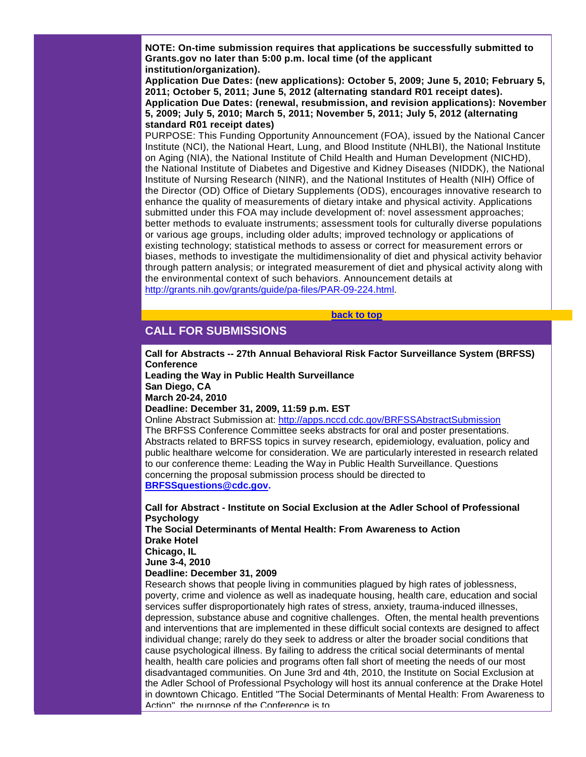**NOTE: On-time submission requires that applications be successfully submitted to Grants.gov no later than 5:00 p.m. local time (of the applicant institution/organization).** 

**Application Due Dates: (new applications): October 5, 2009; June 5, 2010; February 5, 2011; October 5, 2011; June 5, 2012 (alternating standard R01 receipt dates). Application Due Dates: (renewal, resubmission, and revision applications): November 5, 2009; July 5, 2010; March 5, 2011; November 5, 2011; July 5, 2012 (alternating standard R01 receipt dates)**

PURPOSE: This Funding Opportunity Announcement (FOA), issued by the National Cancer Institute (NCI), the National Heart, Lung, and Blood Institute (NHLBI), the National Institute on Aging (NIA), the National Institute of Child Health and Human Development (NICHD), the National Institute of Diabetes and Digestive and Kidney Diseases (NIDDK), the National Institute of Nursing Research (NINR), and the National Institutes of Health (NIH) Office of the Director (OD) Office of Dietary Supplements (ODS), encourages innovative research to enhance the quality of measurements of dietary intake and physical activity. Applications submitted under this FOA may include development of: novel assessment approaches; better methods to evaluate instruments; assessment tools for culturally diverse populations or various age groups, including older adults; improved technology or applications of existing technology; statistical methods to assess or correct for measurement errors or biases, methods to investigate the multidimensionality of diet and physical activity behavior through pattern analysis; or integrated measurement of diet and physical activity along with the environmental context of such behaviors. Announcement details at [http://grants.nih.gov/grants/guide/pa-files/PAR-09-224.html.](http://rs6.net/tn.jsp?et=1102879386537&s=1&e=001kE47ijvqqg5srEIZaLUJJmSEnlo1KO-rUqvz9Yq3jweooz5kcVUS-nFs-nxrLC-uvrIaKDZ1DsR7o4xL7C4aPT_I-seNFVr4ZoV4xGxBPzDS9aWttuwnCDZeBtm6xnTdBkIS9xDc9aA1EtSpOqyJ5_oFq3hluavUYuzX8VawGQ8=)

<span id="page-3-0"></span>**CALL FOR SUBMISSIONS**

**Call for Abstracts -- 27th Annual Behavioral Risk Factor Surveillance System (BRFSS) Conference**

**[back to top](#page-0-1)**

**Leading the Way in Public Health Surveillance**

**San Diego, CA March 20-24, 2010**

**Deadline: December 31, 2009, 11:59 p.m. EST**

Online Abstract Submission at: [http://apps.nccd.cdc.gov/BRFSSAbstractSubmission](http://rs6.net/tn.jsp?et=1102879386537&s=1&e=001kE47ijvqqg4z5o4hLq71lVQhiP4RiIKXXdANFuw76a4UtDeIKHpqf6TLe3lDEFXgj3RvaONZ6JCphuqkkiQTS3vTU9T0i7FdhkF4RUcxbi0PD1wGl_MdAMGpGuwYwrNBXPjY1LsGepw=) The BRFSS Conference Committee seeks abstracts for oral and poster presentations. Abstracts related to BRFSS topics in survey research, epidemiology, evaluation, policy and public healthare welcome for consideration. We are particularly interested in research related to our conference theme: Leading the Way in Public Health Surveillance. Questions concerning the proposal submission process should be directed to **[BRFSSquestions@cdc.gov.](mailto:BRFSSquestions@cdc.gov)**

**Call for Abstract - Institute on Social Exclusion at the Adler School of Professional Psychology The Social Determinants of Mental Health: From Awareness to Action Drake Hotel Chicago, IL**

**June 3-4, 2010**

**Deadline: December 31, 2009**

Research shows that people living in communities plagued by high rates of joblessness, poverty, crime and violence as well as inadequate housing, health care, education and social services suffer disproportionately high rates of stress, anxiety, trauma-induced illnesses, depression, substance abuse and cognitive challenges. Often, the mental health preventions and interventions that are implemented in these difficult social contexts are designed to affect individual change; rarely do they seek to address or alter the broader social conditions that cause psychological illness. By failing to address the critical social determinants of mental health, health care policies and programs often fall short of meeting the needs of our most disadvantaged communities. On June 3rd and 4th, 2010, the Institute on Social Exclusion at the Adler School of Professional Psychology will host its annual conference at the Drake Hotel in downtown Chicago. Entitled "The Social Determinants of Mental Health: From Awareness to Action", the purpose of the Conference is to.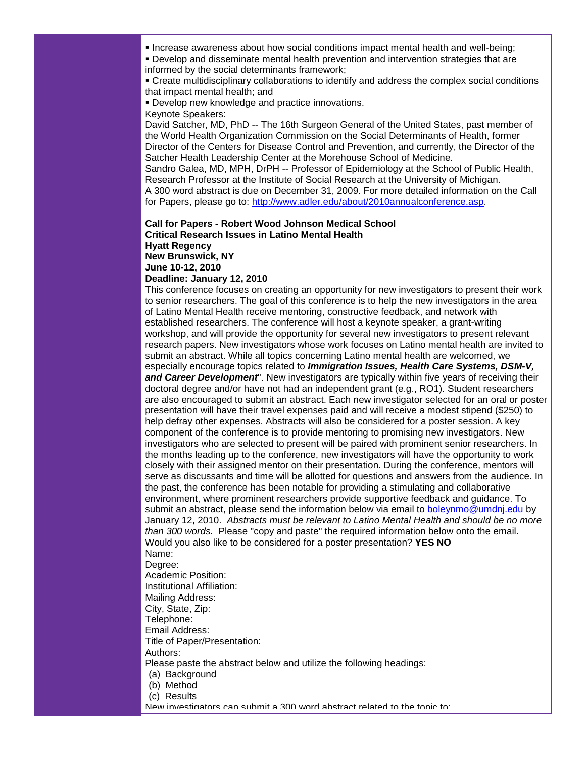Increase awareness about how social conditions impact mental health and well-being;

 Develop and disseminate mental health prevention and intervention strategies that are informed by the social determinants framework;

 Create multidisciplinary collaborations to identify and address the complex social conditions that impact mental health; and

 Develop new knowledge and practice innovations. Keynote Speakers:

David Satcher, MD, PhD -- The 16th Surgeon General of the United States, past member of the World Health Organization Commission on the Social Determinants of Health, former Director of the Centers for Disease Control and Prevention, and currently, the Director of the Satcher Health Leadership Center at the Morehouse School of Medicine.

Sandro Galea, MD, MPH, DrPH -- Professor of Epidemiology at the School of Public Health, Research Professor at the Institute of Social Research at the University of Michigan.

A 300 word abstract is due on December 31, 2009. For more detailed information on the Call for Papers, please go to: [http://www.adler.edu/about/2010annualconference.asp.](http://rs6.net/tn.jsp?et=1102879386537&s=1&e=001kE47ijvqqg4fRYTRMOUkuZyYyIpKQnFGDoaXMQohx1jMIeoam_vQMGNzX2kR13Ly05LH1cZ0Wge5oKc9qDVtwXJzDrlt2qUihsKOiO-NHAb_-fBehQ9UaR9gJWa7iuysfUY0K7uwZrhr2g8blVoODw==)

#### **Call for Papers - Robert Wood Johnson Medical School Critical Research Issues in Latino Mental Health Hyatt Regency New Brunswick, NY June 10-12, 2010**

**Deadline: January 12, 2010**

This conference focuses on creating an opportunity for new investigators to present their work to senior researchers. The goal of this conference is to help the new investigators in the area of Latino Mental Health receive mentoring, constructive feedback, and network with established researchers. The conference will host a keynote speaker, a grant-writing workshop, and will provide the opportunity for several new investigators to present relevant research papers. New investigators whose work focuses on Latino mental health are invited to submit an abstract. While all topics concerning Latino mental health are welcomed, we especially encourage topics related to *Immigration Issues, Health Care Systems, DSM-V,*  **and Career Development**". New investigators are typically within five years of receiving their doctoral degree and/or have not had an independent grant (e.g., RO1). Student researchers are also encouraged to submit an abstract. Each new investigator selected for an oral or poster presentation will have their travel expenses paid and will receive a modest stipend (\$250) to help defray other expenses. Abstracts will also be considered for a poster session. A key component of the conference is to provide mentoring to promising new investigators. New investigators who are selected to present will be paired with prominent senior researchers. In the months leading up to the conference, new investigators will have the opportunity to work closely with their assigned mentor on their presentation. During the conference, mentors will serve as discussants and time will be allotted for questions and answers from the audience. In the past, the conference has been notable for providing a stimulating and collaborative environment, where prominent researchers provide supportive feedback and guidance. To submit an abstract, please send the information below via email to [boleynmo@umdnj.edu](mailto:boleynmo@umdnj.edu) by January 12, 2010. *Abstracts must be relevant to Latino Mental Health and should be no more than 300 words.* Please "copy and paste" the required information below onto the email. Would you also like to be considered for a poster presentation? **YES NO** Name:

#### Degree:

Academic Position: Institutional Affiliation: Mailing Address: City, State, Zip: Telephone: Email Address: Title of Paper/Presentation: Authors: Please paste the abstract below and utilize the following headings: (a) Background (b) Method (c) Results New investigators can submit a 300 word abstract related to the topic to: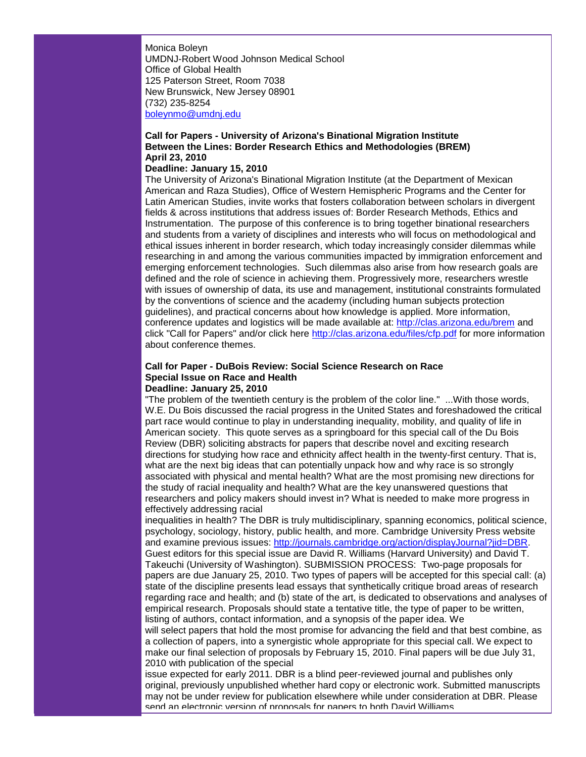Monica Boleyn UMDNJ-Robert Wood Johnson Medical School Office of Global Health 125 Paterson Street, Room 7038 New Brunswick, New Jersey 08901 (732) 235-8254 [boleynmo@umdnj.edu](mailto:boleynmo@umdnj.edu)

#### **Call for Papers - University of Arizona's Binational Migration Institute Between the Lines: Border Research Ethics and Methodologies (BREM) April 23, 2010**

#### **Deadline: January 15, 2010**

The University of Arizona's Binational Migration Institute (at the Department of Mexican American and Raza Studies), Office of Western Hemispheric Programs and the Center for Latin American Studies, invite works that fosters collaboration between scholars in divergent fields & across institutions that address issues of: Border Research Methods, Ethics and Instrumentation. The purpose of this conference is to bring together binational researchers and students from a variety of disciplines and interests who will focus on methodological and ethical issues inherent in border research, which today increasingly consider dilemmas while researching in and among the various communities impacted by immigration enforcement and emerging enforcement technologies. Such dilemmas also arise from how research goals are defined and the role of science in achieving them. Progressively more, researchers wrestle with issues of ownership of data, its use and management, institutional constraints formulated by the conventions of science and the academy (including human subjects protection guidelines), and practical concerns about how knowledge is applied. More information, conference updates and logistics will be made available at: [http://clas.arizona.edu/brem](http://rs6.net/tn.jsp?et=1102879386537&s=1&e=001kE47ijvqqg6F2NK5WCIErnXZ7ftU4UFnOvBODNxPNpF6nL-VmFTyUQjBsEDF02-fhw7_DUZhoSy1gIs1BKCqHFGa2wVAGKOCn02ToELPxUuf5IFonqJLcA==) and click "Call for Papers" and/or click here [http://clas.arizona.edu/files/cfp.pdf](http://rs6.net/tn.jsp?et=1102879386537&s=1&e=001kE47ijvqqg6sOjlPMdnpEXydwBU0qbFD-b2PWBCUE0H1bIHJEU4ZIPllxK0GbNk6vL_SyQy-6Y30Xjz6ripeVXzK3T6G2dI5BRywkvu2Ucx3JxEMld1HCP4RFFez5xdF) for more information about conference themes.

#### **Call for Paper - DuBois Review: Social Science Research on Race Special Issue on Race and Health Deadline: January 25, 2010**

"The problem of the twentieth century is the problem of the color line." ...With those words, W.E. Du Bois discussed the racial progress in the United States and foreshadowed the critical part race would continue to play in understanding inequality, mobility, and quality of life in American society. This quote serves as a springboard for this special call of the Du Bois Review (DBR) soliciting abstracts for papers that describe novel and exciting research directions for studying how race and ethnicity affect health in the twenty-first century. That is, what are the next big ideas that can potentially unpack how and why race is so strongly associated with physical and mental health? What are the most promising new directions for the study of racial inequality and health? What are the key unanswered questions that researchers and policy makers should invest in? What is needed to make more progress in effectively addressing racial

inequalities in health? The DBR is truly multidisciplinary, spanning economics, political science, psychology, sociology, history, public health, and more. Cambridge University Press website and examine previous issues: [http://journals.cambridge.org/action/displayJournal?jid=DBR.](http://rs6.net/tn.jsp?et=1102879386537&s=1&e=001kE47ijvqqg7xEbiyFRQVyo9M43Jri86Ernnx_mCDGjRwzqs52-9eQRB7u4y1zg4StRpCKxwv-MeSJjthjDbBU-uJ5XBlbfTxAe1K5h6FVp28uzrls7SN3fNeM0MYKFZt-yqv0Hlo_ZcyI9qaCZl9XT_fVW07W_lvO7bjPegIUdY=) Guest editors for this special issue are David R. Williams (Harvard University) and David T. Takeuchi (University of Washington). SUBMISSION PROCESS: Two-page proposals for papers are due January 25, 2010. Two types of papers will be accepted for this special call: (a) state of the discipline presents lead essays that synthetically critique broad areas of research regarding race and health; and (b) state of the art, is dedicated to observations and analyses of empirical research. Proposals should state a tentative title, the type of paper to be written, listing of authors, contact information, and a synopsis of the paper idea. We will select papers that hold the most promise for advancing the field and that best combine, as

a collection of papers, into a synergistic whole appropriate for this special call. We expect to make our final selection of proposals by February 15, 2010. Final papers will be due July 31, 2010 with publication of the special

issue expected for early 2011. DBR is a blind peer-reviewed journal and publishes only original, previously unpublished whether hard copy or electronic work. Submitted manuscripts may not be under review for publication elsewhere while under consideration at DBR. Please send an electronic version of proposals for papers to both David Williams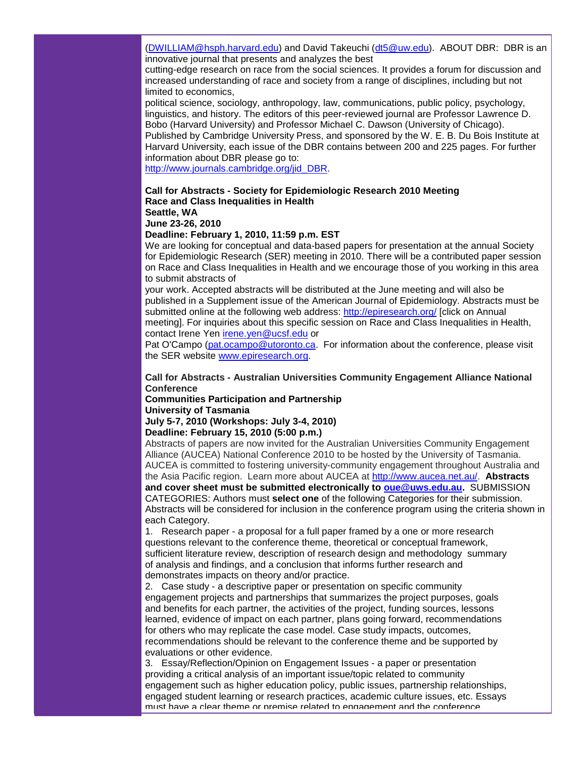[\(DWILLIAM@hsph.harvard.edu\)](mailto:DWILLIAM@hsph.harvard.edu) and David Takeuchi [\(dt5@uw.edu\)](mailto:dt5@uw.edu). ABOUT DBR: DBR is an innovative journal that presents and analyzes the best

cutting-edge research on race from the social sciences. It provides a forum for discussion and increased understanding of race and society from a range of disciplines, including but not limited to economics,

political science, sociology, anthropology, law, communications, public policy, psychology, linguistics, and history. The editors of this peer-reviewed journal are Professor Lawrence D. Bobo (Harvard University) and Professor Michael C. Dawson (University of Chicago). Published by Cambridge University Press, and sponsored by the W. E. B. Du Bois Institute at Harvard University, each issue of the DBR contains between 200 and 225 pages. For further information about DBR please go to:

[http://www.journals.cambridge.org/jid\\_DBR.](http://rs6.net/tn.jsp?et=1102879386537&s=1&e=001kE47ijvqqg5ElaHVLLj5RI11Uk_aVkegGR6h0iznxhQAKjJ1NMe_oaE8u9L-FraXRSYcTDxM15476etmNcK0rulI-UCvFQxrYphtZAkudwXmLq930f488i1N9_wQcRdx9JVZVnVDECo=) 

#### **Call for Abstracts - Society for Epidemiologic Research 2010 Meeting Race and Class Inequalities in Health Seattle, WA**

#### **June 23-26, 2010**

#### **Deadline: February 1, 2010, 11:59 p.m. EST**

We are looking for conceptual and data-based papers for presentation at the annual Society for Epidemiologic Research (SER) meeting in 2010. There will be a contributed paper session on Race and Class Inequalities in Health and we encourage those of you working in this area to submit abstracts of

your work. Accepted abstracts will be distributed at the June meeting and will also be published in a Supplement issue of the American Journal of Epidemiology. Abstracts must be submitted online at the following web address: [http://epiresearch.org/](http://rs6.net/tn.jsp?et=1102879386537&s=1&e=001kE47ijvqqg5S2dCUbBB3tMcd6UcymMzxMQuSSDj1KhaMy73nd5AW6YfMrTuddM-iJfmLRH76iNCX4CXJXJAYWhMfPpKvqj_ZHWWZKyVQF0c=) [click on Annual meeting]. For inquiries about this specific session on Race and Class Inequalities in Health, contact Irene Yen [irene.yen@ucsf.edu](mailto:irene.yen@ucsf.edu) or

Pat O'Campo [\(pat.ocampo@utoronto.ca.](mailto:pat.ocampo@utoronto.ca) For information about the conference, please visit the SER website [www.epiresearch.org.](http://rs6.net/tn.jsp?et=1102879386537&s=1&e=001kE47ijvqqg7J2N8jKvYtas-9Uy53AySi_3HAzDxS1IAX7AnM9yd2TNYsd2VRGQ0jWn3vdLRbq7_4tsJ_zU5rFClBYlFyL1-eMicwwWkdabe1W1BstpCGlw==) 

#### **Call for Abstracts - Australian Universities Community Engagement Alliance National Conference**

# **Communities Participation and Partnership**

# **University of Tasmania**

# **July 5-7, 2010 (Workshops: July 3-4, 2010)**

#### **Deadline: February 15, 2010 (5:00 p.m.)**

Abstracts of papers are now invited for the Australian Universities Community Engagement Alliance (AUCEA) National Conference 2010 to be hosted by the University of Tasmania. AUCEA is committed to fostering university-community engagement throughout Australia and the Asia Pacific region. Learn more about AUCEA at [http://www.aucea.net.au/.](http://rs6.net/tn.jsp?et=1102879386537&s=1&e=001kE47ijvqqg5-fjeUOjnhrKE2LXq1xLseri-mrcZ7YalM1sVfe5xTXgyZu81W5sSY91Z99-o2NWtMng8G7RwJewKsTzsKH9aQD4wsFGN66jg=) **Abstracts and cover sheet must be submitted electronically to [oue@uws.edu.au.](mailto:oue@uws.edu.au)** SUBMISSION CATEGORIES: Authors must **select one** of the following Categories for their submission. Abstracts will be considered for inclusion in the conference program using the criteria shown in each Category.

1. Research paper - a proposal for a full paper framed by a one or more research questions relevant to the conference theme, theoretical or conceptual framework, sufficient literature review, description of research design and methodology summary of analysis and findings, and a conclusion that informs further research and demonstrates impacts on theory and/or practice.

2. Case study - a descriptive paper or presentation on specific community engagement projects and partnerships that summarizes the project purposes, goals and benefits for each partner, the activities of the project, funding sources, lessons learned, evidence of impact on each partner, plans going forward, recommendations for others who may replicate the case model. Case study impacts, outcomes, recommendations should be relevant to the conference theme and be supported by evaluations or other evidence.

3. Essay/Reflection/Opinion on Engagement Issues - a paper or presentation providing a critical analysis of an important issue/topic related to community engagement such as higher education policy, public issues, partnership relationships, engaged student learning or research practices, academic culture issues, etc. Essays must have a clear theme or premise related to engagement and the conference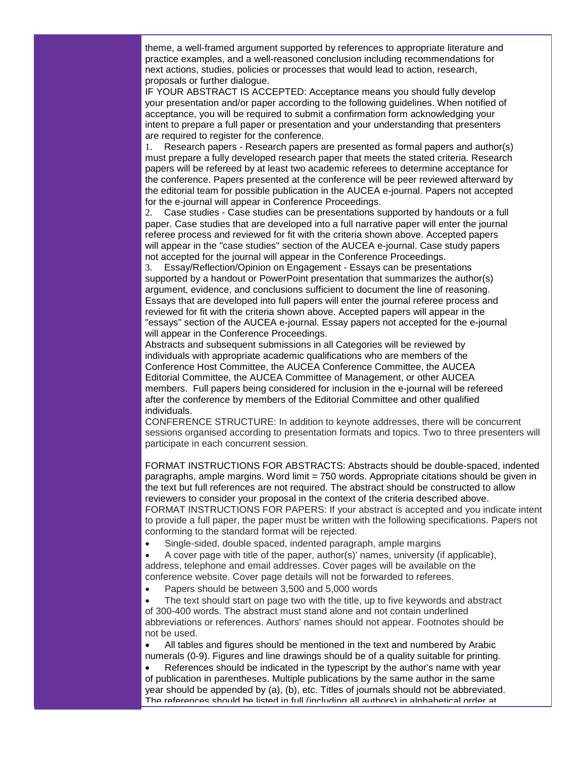theme, a well-framed argument supported by references to appropriate literature and practice examples, and a well-reasoned conclusion including recommendations for next actions, studies, policies or processes that would lead to action, research, proposals or further dialogue.

IF YOUR ABSTRACT IS ACCEPTED: Acceptance means you should fully develop your presentation and/or paper according to the following guidelines. When notified of acceptance, you will be required to submit a confirmation form acknowledging your intent to prepare a full paper or presentation and your understanding that presenters are required to register for the conference.

1. Research papers - Research papers are presented as formal papers and author(s) must prepare a fully developed research paper that meets the stated criteria. Research papers will be refereed by at least two academic referees to determine acceptance for the conference. Papers presented at the conference will be peer reviewed afterward by the editorial team for possible publication in the AUCEA e-journal. Papers not accepted for the e-journal will appear in Conference Proceedings.

2. Case studies - Case studies can be presentations supported by handouts or a full paper. Case studies that are developed into a full narrative paper will enter the journal referee process and reviewed for fit with the criteria shown above. Accepted papers will appear in the "case studies" section of the AUCEA e-journal. Case study papers not accepted for the journal will appear in the Conference Proceedings.

3. Essay/Reflection/Opinion on Engagement - Essays can be presentations supported by a handout or PowerPoint presentation that summarizes the author(s) argument, evidence, and conclusions sufficient to document the line of reasoning. Essays that are developed into full papers will enter the journal referee process and reviewed for fit with the criteria shown above. Accepted papers will appear in the "essays" section of the AUCEA e-journal. Essay papers not accepted for the e-journal will appear in the Conference Proceedings.

Abstracts and subsequent submissions in all Categories will be reviewed by individuals with appropriate academic qualifications who are members of the Conference Host Committee, the AUCEA Conference Committee, the AUCEA Editorial Committee, the AUCEA Committee of Management, or other AUCEA members. Full papers being considered for inclusion in the e-journal will be refereed after the conference by members of the Editorial Committee and other qualified individuals.

CONFERENCE STRUCTURE: In addition to keynote addresses, there will be concurrent sessions organised according to presentation formats and topics. Two to three presenters will participate in each concurrent session.

FORMAT INSTRUCTIONS FOR ABSTRACTS: Abstracts should be double-spaced, indented paragraphs, ample margins. Word limit = 750 words. Appropriate citations should be given in the text but full references are not required. The abstract should be constructed to allow reviewers to consider your proposal in the context of the criteria described above. FORMAT INSTRUCTIONS FOR PAPERS: If your abstract is accepted and you indicate intent to provide a full paper, the paper must be written with the following specifications. Papers not conforming to the standard format will be rejected.

• Single-sided, double spaced, indented paragraph, ample margins

• A cover page with title of the paper, author(s)' names, university (if applicable), address, telephone and email addresses. Cover pages will be available on the conference website. Cover page details will not be forwarded to referees.

• Papers should be between 3,500 and 5,000 words

The text should start on page two with the title, up to five keywords and abstract of 300-400 words. The abstract must stand alone and not contain underlined abbreviations or references. Authors' names should not appear. Footnotes should be not be used.

• All tables and figures should be mentioned in the text and numbered by Arabic numerals (0-9). Figures and line drawings should be of a quality suitable for printing.

References should be indicated in the typescript by the author's name with year of publication in parentheses. Multiple publications by the same author in the same year should be appended by (a), (b), etc. Titles of journals should not be abbreviated. The references should be listed in full (including all authors) in alphabetical order at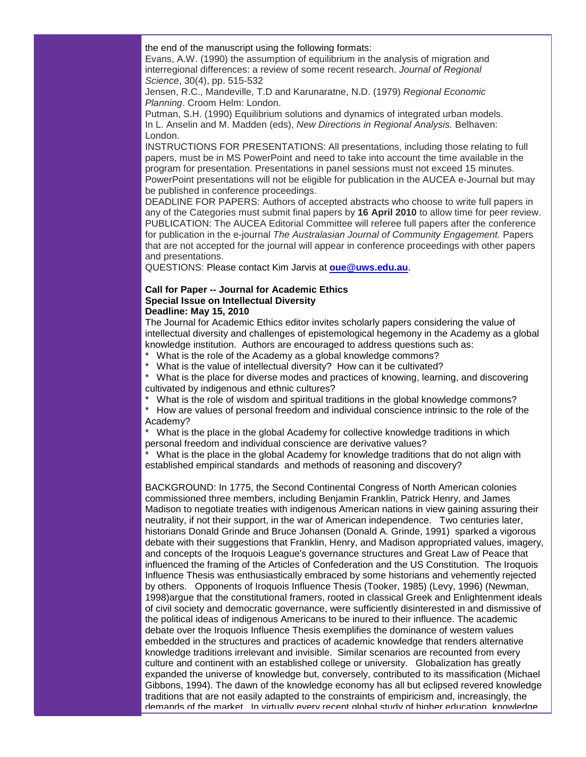the end of the manuscript using the following formats:

Evans, A.W. (1990) the assumption of equilibrium in the analysis of migration and interregional differences: a review of some recent research. *Journal of Regional Science*, 30(4), pp. 515-532

Jensen, R.C., Mandeville, T.D and Karunaratne, N.D. (1979) *Regional Economic Planning*. Croom Helm: London.

Putman, S.H. (1990) Equilibrium solutions and dynamics of integrated urban models. In L. Anselin and M. Madden (eds), *New Directions in Regional Analysis.* Belhaven: London.

INSTRUCTIONS FOR PRESENTATIONS: All presentations, including those relating to full papers, must be in MS PowerPoint and need to take into account the time available in the program for presentation. Presentations in panel sessions must not exceed 15 minutes. PowerPoint presentations will not be eligible for publication in the AUCEA e-Journal but may be published in conference proceedings.

DEADLINE FOR PAPERS: Authors of accepted abstracts who choose to write full papers in any of the Categories must submit final papers by **16 April 2010** to allow time for peer review. PUBLICATION: The AUCEA Editorial Committee will referee full papers after the conference for publication in the e-journal *The Australasian Journal of Community Engagement.* Papers that are not accepted for the journal will appear in conference proceedings with other papers and presentations.

QUESTIONS: Please contact Kim Jarvis at **[oue@uws.edu.au](mailto:oue@uws.edu.au)**.

#### **Call for Paper -- Journal for Academic Ethics Special Issue on Intellectual Diversity Deadline: May 15, 2010**

The Journal for Academic Ethics editor invites scholarly papers considering the value of intellectual diversity and challenges of epistemological hegemony in the Academy as a global knowledge institution. Authors are encouraged to address questions such as:

- What is the role of the Academy as a global knowledge commons?
- What is the value of intellectual diversity? How can it be cultivated?

What is the place for diverse modes and practices of knowing, learning, and discovering cultivated by indigenous and ethnic cultures?

What is the role of wisdom and spiritual traditions in the global knowledge commons?

How are values of personal freedom and individual conscience intrinsic to the role of the Academy?

What is the place in the global Academy for collective knowledge traditions in which personal freedom and individual conscience are derivative values?

What is the place in the global Academy for knowledge traditions that do not align with established empirical standards and methods of reasoning and discovery?

BACKGROUND: In 1775, the Second Continental Congress of North American colonies commissioned three members, including Benjamin Franklin, Patrick Henry, and James Madison to negotiate treaties with indigenous American nations in view gaining assuring their neutrality, if not their support, in the war of American independence. Two centuries later, historians Donald Grinde and Bruce Johansen (Donald A. Grinde, 1991) sparked a vigorous debate with their suggestions that Franklin, Henry, and Madison appropriated values, imagery, and concepts of the Iroquois League's governance structures and Great Law of Peace that influenced the framing of the Articles of Confederation and the US Constitution. The Iroquois Influence Thesis was enthusiastically embraced by some historians and vehemently rejected by others. Opponents of Iroquois Influence Thesis (Tooker, 1985) (Levy, 1996) (Newman, 1998)argue that the constitutional framers, rooted in classical Greek and Enlightenment ideals of civil society and democratic governance, were sufficiently disinterested in and dismissive of the political ideas of indigenous Americans to be inured to their influence. The academic debate over the Iroquois Influence Thesis exemplifies the dominance of western values embedded in the structures and practices of academic knowledge that renders alternative knowledge traditions irrelevant and invisible. Similar scenarios are recounted from every culture and continent with an established college or university. Globalization has greatly expanded the universe of knowledge but, conversely, contributed to its massification (Michael Gibbons, 1994). The dawn of the knowledge economy has all but eclipsed revered knowledge traditions that are not easily adapted to the constraints of empiricism and, increasingly, the demands of the market. In virtually every recent global study of higher education, knowledge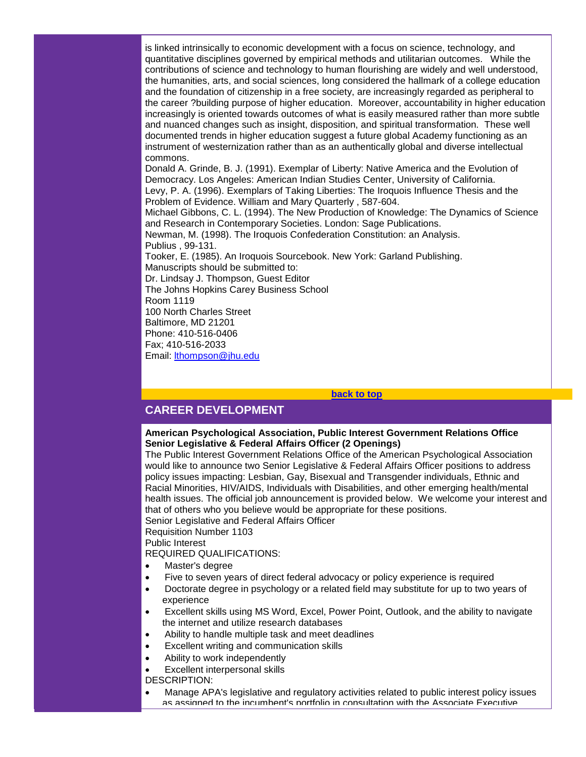is linked intrinsically to economic development with a focus on science, technology, and quantitative disciplines governed by empirical methods and utilitarian outcomes. While the contributions of science and technology to human flourishing are widely and well understood, the humanities, arts, and social sciences, long considered the hallmark of a college education and the foundation of citizenship in a free society, are increasingly regarded as peripheral to the career ?building purpose of higher education. Moreover, accountability in higher education increasingly is oriented towards outcomes of what is easily measured rather than more subtle and nuanced changes such as insight, disposition, and spiritual transformation. These well documented trends in higher education suggest a future global Academy functioning as an instrument of westernization rather than as an authentically global and diverse intellectual commons.

Donald A. Grinde, B. J. (1991). Exemplar of Liberty: Native America and the Evolution of Democracy. Los Angeles: American Indian Studies Center, University of California. Levy, P. A. (1996). Exemplars of Taking Liberties: The Iroquois Influence Thesis and the Problem of Evidence. William and Mary Quarterly , 587-604.

Michael Gibbons, C. L. (1994). The New Production of Knowledge: The Dynamics of Science and Research in Contemporary Societies. London: Sage Publications. Newman, M. (1998). The Iroquois Confederation Constitution: an Analysis. Publius , 99-131. Tooker, E. (1985). An Iroquois Sourcebook. New York: Garland Publishing.

Manuscripts should be submitted to: Dr. Lindsay J. Thompson, Guest Editor The Johns Hopkins Carey Business School Room 1119 100 North Charles Street Baltimore, MD 21201 Phone: 410-516-0406 Fax; 410-516-2033 Email: [lthompson@jhu.edu](mailto:lthompson@jhu.edu)

#### **[back to top](#page-0-1)**

# <span id="page-9-0"></span>**CAREER DEVELOPMENT**

#### **American Psychological Association, Public Interest Government Relations Office Senior Legislative & Federal Affairs Officer (2 Openings)**

The Public Interest Government Relations Office of the American Psychological Association would like to announce two Senior Legislative & Federal Affairs Officer positions to address policy issues impacting: Lesbian, Gay, Bisexual and Transgender individuals, Ethnic and Racial Minorities, HIV/AIDS, Individuals with Disabilities, and other emerging health/mental health issues. The official job announcement is provided below. We welcome your interest and that of others who you believe would be appropriate for these positions.

Senior Legislative and Federal Affairs Officer

Requisition Number 1103

Public Interest

REQUIRED QUALIFICATIONS:

- Master's degree
- Five to seven years of direct federal advocacy or policy experience is required
- Doctorate degree in psychology or a related field may substitute for up to two years of experience
- Excellent skills using MS Word, Excel, Power Point, Outlook, and the ability to navigate the internet and utilize research databases
- Ability to handle multiple task and meet deadlines
- Excellent writing and communication skills
- Ability to work independently
- Excellent interpersonal skills

DESCRIPTION:

• Manage APA's legislative and regulatory activities related to public interest policy issues as assigned to the incumbent's portfolio in consultation with the Associate Executive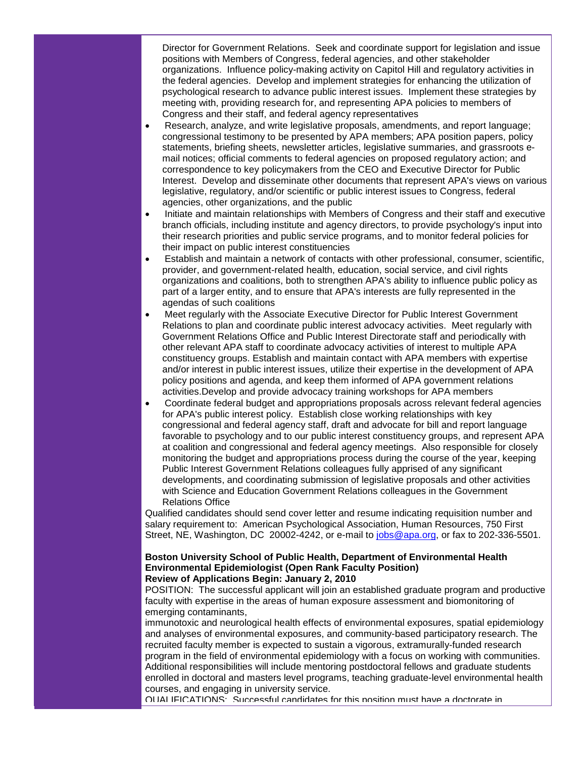Director for Government Relations. Seek and coordinate support for legislation and issue positions with Members of Congress, federal agencies, and other stakeholder organizations. Influence policy-making activity on Capitol Hill and regulatory activities in the federal agencies. Develop and implement strategies for enhancing the utilization of psychological research to advance public interest issues. Implement these strategies by meeting with, providing research for, and representing APA policies to members of Congress and their staff, and federal agency representatives

- Research, analyze, and write legislative proposals, amendments, and report language; congressional testimony to be presented by APA members; APA position papers, policy statements, briefing sheets, newsletter articles, legislative summaries, and grassroots email notices; official comments to federal agencies on proposed regulatory action; and correspondence to key policymakers from the CEO and Executive Director for Public Interest. Develop and disseminate other documents that represent APA's views on various legislative, regulatory, and/or scientific or public interest issues to Congress, federal agencies, other organizations, and the public
- Initiate and maintain relationships with Members of Congress and their staff and executive branch officials, including institute and agency directors, to provide psychology's input into their research priorities and public service programs, and to monitor federal policies for their impact on public interest constituencies
- Establish and maintain a network of contacts with other professional, consumer, scientific, provider, and government-related health, education, social service, and civil rights organizations and coalitions, both to strengthen APA's ability to influence public policy as part of a larger entity, and to ensure that APA's interests are fully represented in the agendas of such coalitions
- Meet regularly with the Associate Executive Director for Public Interest Government Relations to plan and coordinate public interest advocacy activities. Meet regularly with Government Relations Office and Public Interest Directorate staff and periodically with other relevant APA staff to coordinate advocacy activities of interest to multiple APA constituency groups. Establish and maintain contact with APA members with expertise and/or interest in public interest issues, utilize their expertise in the development of APA policy positions and agenda, and keep them informed of APA government relations activities.Develop and provide advocacy training workshops for APA members
- Coordinate federal budget and appropriations proposals across relevant federal agencies for APA's public interest policy. Establish close working relationships with key congressional and federal agency staff, draft and advocate for bill and report language favorable to psychology and to our public interest constituency groups, and represent APA at coalition and congressional and federal agency meetings. Also responsible for closely monitoring the budget and appropriations process during the course of the year, keeping Public Interest Government Relations colleagues fully apprised of any significant developments, and coordinating submission of legislative proposals and other activities with Science and Education Government Relations colleagues in the Government Relations Office

Qualified candidates should send cover letter and resume indicating requisition number and salary requirement to: American Psychological Association, Human Resources, 750 First Street, NE, Washington, DC 20002-4242, or e-mail to [jobs@apa.org,](mailto:jobs@apa.org) or fax to 202-336-5501.

#### **Boston University School of Public Health, Department of Environmental Health Environmental Epidemiologist (Open Rank Faculty Position) Review of Applications Begin: January 2, 2010**

POSITION: The successful applicant will join an established graduate program and productive faculty with expertise in the areas of human exposure assessment and biomonitoring of emerging contaminants,

immunotoxic and neurological health effects of environmental exposures, spatial epidemiology and analyses of environmental exposures, and community-based participatory research. The recruited faculty member is expected to sustain a vigorous, extramurally-funded research program in the field of environmental epidemiology with a focus on working with communities. Additional responsibilities will include mentoring postdoctoral fellows and graduate students enrolled in doctoral and masters level programs, teaching graduate-level environmental health courses, and engaging in university service.

QUALIFICATIONS: Successful candidates for this position must have a doctorate in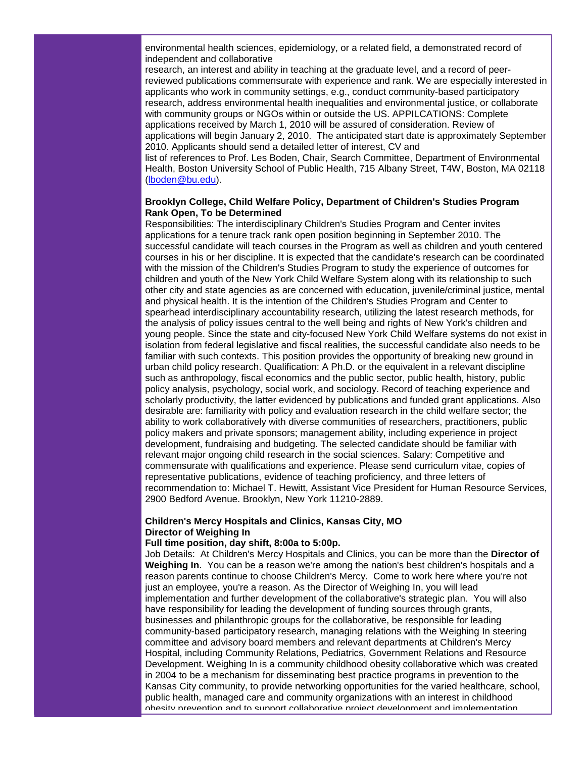environmental health sciences, epidemiology, or a related field, a demonstrated record of independent and collaborative

research, an interest and ability in teaching at the graduate level, and a record of peerreviewed publications commensurate with experience and rank. We are especially interested in applicants who work in community settings, e.g., conduct community-based participatory research, address environmental health inequalities and environmental justice, or collaborate with community groups or NGOs within or outside the US. APPILCATIONS: Complete applications received by March 1, 2010 will be assured of consideration. Review of applications will begin January 2, 2010. The anticipated start date is approximately September 2010. Applicants should send a detailed letter of interest, CV and

list of references to Prof. Les Boden, Chair, Search Committee, Department of Environmental Health, Boston University School of Public Health, 715 Albany Street, T4W, Boston, MA 02118 [\(lboden@bu.edu\)](mailto:lboden@bu.edu).

#### **Brooklyn College, Child Welfare Policy, Department of Children's Studies Program Rank Open, To be Determined**

Responsibilities: The interdisciplinary Children's Studies Program and Center invites applications for a tenure track rank open position beginning in September 2010. The successful candidate will teach courses in the Program as well as children and youth centered courses in his or her discipline. It is expected that the candidate's research can be coordinated with the mission of the Children's Studies Program to study the experience of outcomes for children and youth of the New York Child Welfare System along with its relationship to such other city and state agencies as are concerned with education, juvenile/criminal justice, mental and physical health. It is the intention of the Children's Studies Program and Center to spearhead interdisciplinary accountability research, utilizing the latest research methods, for the analysis of policy issues central to the well being and rights of New York's children and young people. Since the state and city-focused New York Child Welfare systems do not exist in isolation from federal legislative and fiscal realities, the successful candidate also needs to be familiar with such contexts. This position provides the opportunity of breaking new ground in urban child policy research. Qualification: A Ph.D. or the equivalent in a relevant discipline such as anthropology, fiscal economics and the public sector, public health, history, public policy analysis, psychology, social work, and sociology. Record of teaching experience and scholarly productivity, the latter evidenced by publications and funded grant applications. Also desirable are: familiarity with policy and evaluation research in the child welfare sector; the ability to work collaboratively with diverse communities of researchers, practitioners, public policy makers and private sponsors; management ability, including experience in project development, fundraising and budgeting. The selected candidate should be familiar with relevant major ongoing child research in the social sciences. Salary: Competitive and commensurate with qualifications and experience. Please send curriculum vitae, copies of representative publications, evidence of teaching proficiency, and three letters of recommendation to: Michael T. Hewitt, Assistant Vice President for Human Resource Services, 2900 Bedford Avenue. Brooklyn, New York 11210-2889.

#### **Children's Mercy Hospitals and Clinics, Kansas City, MO Director of Weighing In**

#### **Full time position, day shift, 8:00a to 5:00p.**

Job Details: At Children's Mercy Hospitals and Clinics, you can be more than the **Director of Weighing In**. You can be a reason we're among the nation's best children's hospitals and a reason parents continue to choose Children's Mercy. Come to work here where you're not just an employee, you're a reason. As the Director of Weighing In, you will lead implementation and further development of the collaborative's strategic plan. You will also have responsibility for leading the development of funding sources through grants, businesses and philanthropic groups for the collaborative, be responsible for leading community-based participatory research, managing relations with the Weighing In steering committee and advisory board members and relevant departments at Children's Mercy Hospital, including Community Relations, Pediatrics, Government Relations and Resource Development. Weighing In is a community childhood obesity collaborative which was created in 2004 to be a mechanism for disseminating best practice programs in prevention to the Kansas City community, to provide networking opportunities for the varied healthcare, school, public health, managed care and community organizations with an interest in childhood obesity prevention and to support collaborative project development and implementation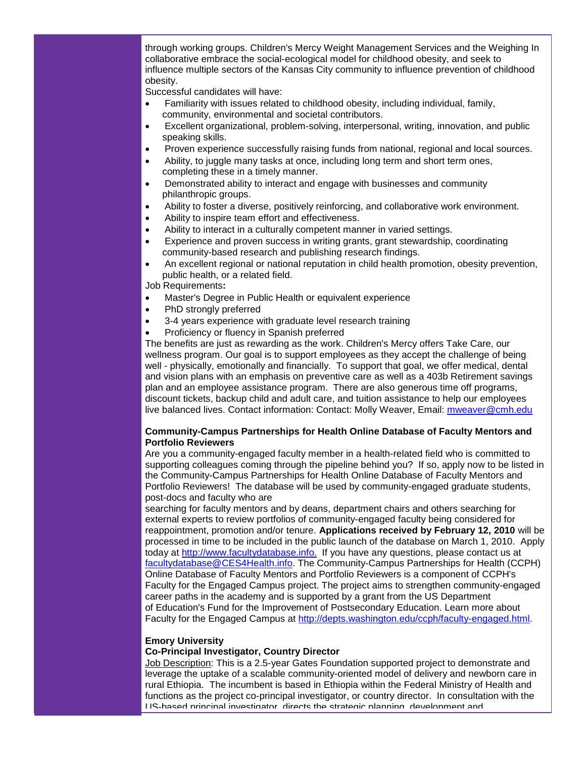through working groups. Children's Mercy Weight Management Services and the Weighing In collaborative embrace the social-ecological model for childhood obesity, and seek to influence multiple sectors of the Kansas City community to influence prevention of childhood obesity.

Successful candidates will have:

- Familiarity with issues related to childhood obesity, including individual, family, community, environmental and societal contributors.
- Excellent organizational, problem-solving, interpersonal, writing, innovation, and public speaking skills.
- Proven experience successfully raising funds from national, regional and local sources.
- Ability, to juggle many tasks at once, including long term and short term ones, completing these in a timely manner.
- Demonstrated ability to interact and engage with businesses and community philanthropic groups.
- Ability to foster a diverse, positively reinforcing, and collaborative work environment.
- Ability to inspire team effort and effectiveness.
- Ability to interact in a culturally competent manner in varied settings.
- Experience and proven success in writing grants, grant stewardship, coordinating community-based research and publishing research findings.
- An excellent regional or national reputation in child health promotion, obesity prevention, public health, or a related field.

Job Requirements**:** 

- Master's Degree in Public Health or equivalent experience
- PhD strongly preferred
- 3-4 years experience with graduate level research training
- Proficiency or fluency in Spanish preferred

The benefits are just as rewarding as the work. Children's Mercy offers Take Care, our wellness program. Our goal is to support employees as they accept the challenge of being well - physically, emotionally and financially. To support that goal, we offer medical, dental and vision plans with an emphasis on preventive care as well as a 403b Retirement savings plan and an employee assistance program. There are also generous time off programs, discount tickets, backup child and adult care, and tuition assistance to help our employees live balanced lives. Contact information: Contact: Molly Weaver, Email: [mweaver@cmh.edu](mailto:mweaver@cmh.edu)

#### **Community-Campus Partnerships for Health Online Database of Faculty Mentors and Portfolio Reviewers**

Are you a community-engaged faculty member in a health-related field who is committed to supporting colleagues coming through the pipeline behind you? If so, apply now to be listed in the Community-Campus Partnerships for Health Online Database of Faculty Mentors and Portfolio Reviewers! The database will be used by community-engaged graduate students, post-docs and faculty who are

searching for faculty mentors and by deans, department chairs and others searching for external experts to review portfolios of community-engaged faculty being considered for reappointment, promotion and/or tenure. **Applications received by February 12, 2010** will be processed in time to be included in the public launch of the database on March 1, 2010. Apply today at [http://www.facultydatabase.info.](http://rs6.net/tn.jsp?et=1102879386537&s=1&e=001kE47ijvqqg45AaAdHUkI4X6taFkUeHdohpLgkO3R0wq8FsQoT_djixA614skqcpXdeQVgzk_roATxDUCfosvj9iqiIb_s79llDsb0DnQpB1OxXez4MxKsEG8xXrI2jVA) If you have any questions, please contact us at [facultydatabase@CES4Health.info.](mailto:facultydatabase@CES4Health.info) The Community-Campus Partnerships for Health (CCPH) Online Database of Faculty Mentors and Portfolio Reviewers is a component of CCPH's Faculty for the Engaged Campus project. The project aims to strengthen community-engaged career paths in the academy and is supported by a grant from the US Department of Education's Fund for the Improvement of Postsecondary Education. Learn more about Faculty for the Engaged Campus at [http://depts.washington.edu/ccph/faculty-engaged.html.](http://rs6.net/tn.jsp?et=1102879386537&s=1&e=001kE47ijvqqg4q-NSMHeg7Z018hTuN3FXQZEX44u-Qr41SaOl-xzZtUPAYzIsAhSl8mY9FFs25T9aKOI54AY8b9kqCsIBICpZxVveNqyX0QC5p0jh26WTr3vlDuua8wbXAyS4AnZqDALkjnEiEoxtAKg==)

#### **Emory University**

#### **Co-Principal Investigator, Country Director**

Job Description: This is a 2.5-year Gates Foundation supported project to demonstrate and leverage the uptake of a scalable community-oriented model of delivery and newborn care in rural Ethiopia. The incumbent is based in Ethiopia within the Federal Ministry of Health and functions as the project co-principal investigator, or country director. In consultation with the US-based principal investigator, directs the strategic planning, development and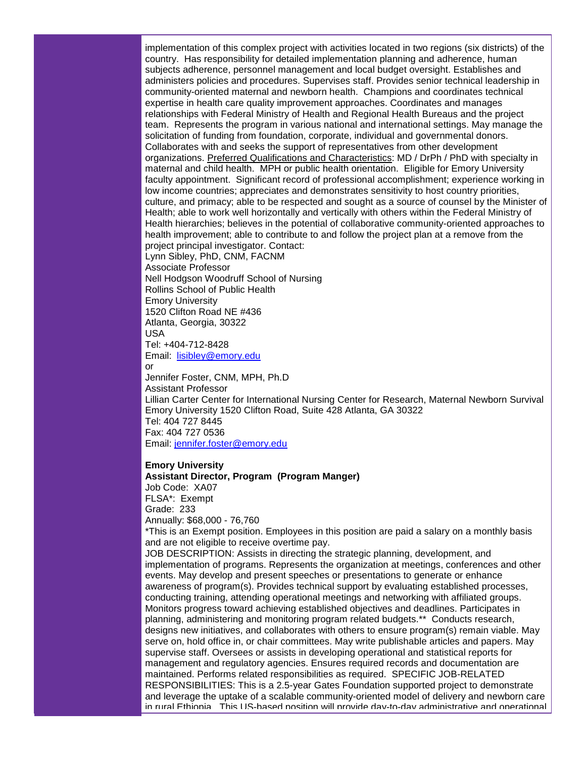implementation of this complex project with activities located in two regions (six districts) of the country. Has responsibility for detailed implementation planning and adherence, human subjects adherence, personnel management and local budget oversight. Establishes and administers policies and procedures. Supervises staff. Provides senior technical leadership in community-oriented maternal and newborn health. Champions and coordinates technical expertise in health care quality improvement approaches. Coordinates and manages relationships with Federal Ministry of Health and Regional Health Bureaus and the project team. Represents the program in various national and international settings. May manage the solicitation of funding from foundation, corporate, individual and governmental donors. Collaborates with and seeks the support of representatives from other development organizations. Preferred Qualifications and Characteristics: MD / DrPh / PhD with specialty in maternal and child health. MPH or public health orientation. Eligible for Emory University faculty appointment. Significant record of professional accomplishment; experience working in low income countries; appreciates and demonstrates sensitivity to host country priorities, culture, and primacy; able to be respected and sought as a source of counsel by the Minister of Health; able to work well horizontally and vertically with others within the Federal Ministry of Health hierarchies; believes in the potential of collaborative community-oriented approaches to health improvement; able to contribute to and follow the project plan at a remove from the project principal investigator. Contact: Lynn Sibley, PhD, CNM, FACNM Associate Professor Nell Hodgson Woodruff School of Nursing Rollins School of Public Health Emory University 1520 Clifton Road NE #436 Atlanta, Georgia, 30322 USA Tel: +404-712-8428 Email: [lisibley@emory.edu](mailto:lisibley@emory.edu) or Jennifer Foster, CNM, MPH, Ph.D

Assistant Professor Lillian Carter Center for International Nursing Center for Research, Maternal Newborn Survival Emory University 1520 Clifton Road, Suite 428 Atlanta, GA 30322 Tel: 404 727 8445 Fax: 404 727 0536 Email: [jennifer.foster@emory.edu](mailto:jennifer.foster@emory.edu)

#### **Emory University**

**Assistant Director, Program (Program Manger)** Job Code: XA07 FLSA\*: Exempt Grade: 233 Annually: \$68,000 - 76,760

\*This is an Exempt position. Employees in this position are paid a salary on a monthly basis and are not eligible to receive overtime pay.

JOB DESCRIPTION: Assists in directing the strategic planning, development, and implementation of programs. Represents the organization at meetings, conferences and other events. May develop and present speeches or presentations to generate or enhance awareness of program(s). Provides technical support by evaluating established processes, conducting training, attending operational meetings and networking with affiliated groups. Monitors progress toward achieving established objectives and deadlines. Participates in planning, administering and monitoring program related budgets.\*\* Conducts research, designs new initiatives, and collaborates with others to ensure program(s) remain viable. May serve on, hold office in, or chair committees. May write publishable articles and papers. May supervise staff. Oversees or assists in developing operational and statistical reports for management and regulatory agencies. Ensures required records and documentation are maintained. Performs related responsibilities as required. SPECIFIC JOB-RELATED RESPONSIBILITIES: This is a 2.5-year Gates Foundation supported project to demonstrate and leverage the uptake of a scalable community-oriented model of delivery and newborn care in rural Ethiopia. This US-based position will provide day-to-day administrative and operational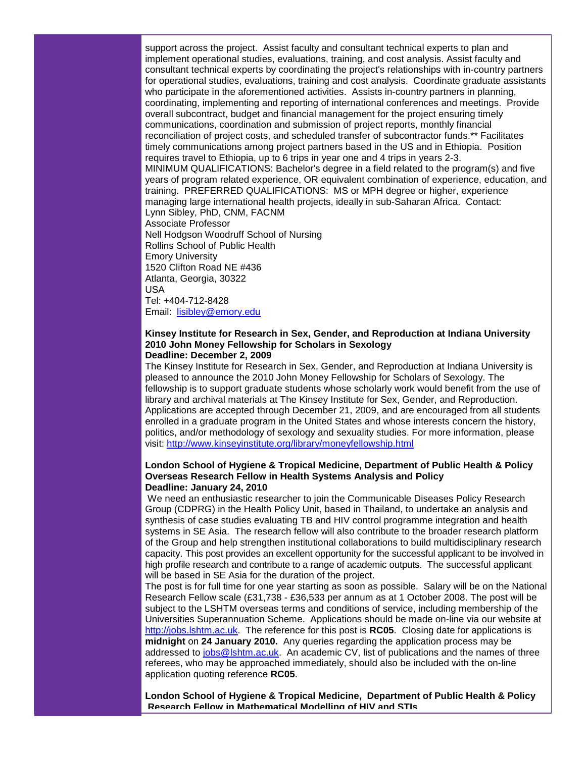support across the project. Assist faculty and consultant technical experts to plan and implement operational studies, evaluations, training, and cost analysis. Assist faculty and consultant technical experts by coordinating the project's relationships with in-country partners for operational studies, evaluations, training and cost analysis. Coordinate graduate assistants who participate in the aforementioned activities. Assists in-country partners in planning, coordinating, implementing and reporting of international conferences and meetings. Provide overall subcontract, budget and financial management for the project ensuring timely communications, coordination and submission of project reports, monthly financial reconciliation of project costs, and scheduled transfer of subcontractor funds.\*\* Facilitates timely communications among project partners based in the US and in Ethiopia. Position requires travel to Ethiopia, up to 6 trips in year one and 4 trips in years 2-3. MINIMUM QUALIFICATIONS: Bachelor's degree in a field related to the program(s) and five years of program related experience, OR equivalent combination of experience, education, and training. PREFERRED QUALIFICATIONS: MS or MPH degree or higher, experience managing large international health projects, ideally in sub-Saharan Africa. Contact: Lynn Sibley, PhD, CNM, FACNM Associate Professor Nell Hodgson Woodruff School of Nursing Rollins School of Public Health Emory University 1520 Clifton Road NE #436 Atlanta, Georgia, 30322 USA Tel: +404-712-8428

Email: [lisibley@emory.edu](mailto:lisibley@emory.edu)

#### **Kinsey Institute for Research in Sex, Gender, and Reproduction at Indiana University 2010 John Money Fellowship for Scholars in Sexology Deadline: December 2, 2009**

The Kinsey Institute for Research in Sex, Gender, and Reproduction at Indiana University is pleased to announce the 2010 John Money Fellowship for Scholars of Sexology. The fellowship is to support graduate students whose scholarly work would benefit from the use of library and archival materials at The Kinsey Institute for Sex, Gender, and Reproduction. Applications are accepted through December 21, 2009, and are encouraged from all students enrolled in a graduate program in the United States and whose interests concern the history, politics, and/or methodology of sexology and sexuality studies. For more information, please visit: [http://www.kinseyinstitute.org/library/moneyfellowship.html](http://rs6.net/tn.jsp?et=1102879386537&s=1&e=001kE47ijvqqg4kJRnM5iKdURc1yJ-dSGrid7rILnaL7NWWE4Y8tYB0RarhigY6ItwW8uIzLEpq5ZxHm0ej1DS8dakHaxqyvnYYgj7frILJdvbwD_VMxLOzhnczFI8tcajm7dTkVFuw2JbBRj8Gn5Lm42XaXcEX0lkB)

#### **London School of Hygiene & Tropical Medicine, Department of Public Health & Policy Overseas Research Fellow in Health Systems Analysis and Policy Deadline: January 24, 2010**

We need an enthusiastic researcher to join the Communicable Diseases Policy Research Group (CDPRG) in the Health Policy Unit, based in Thailand, to undertake an analysis and synthesis of case studies evaluating TB and HIV control programme integration and health systems in SE Asia. The research fellow will also contribute to the broader research platform of the Group and help strengthen institutional collaborations to build multidisciplinary research capacity. This post provides an excellent opportunity for the successful applicant to be involved in high profile research and contribute to a range of academic outputs. The successful applicant will be based in SE Asia for the duration of the project.

The post is for full time for one year starting as soon as possible. Salary will be on the National Research Fellow scale (£31,738 - £36,533 per annum as at 1 October 2008. The post will be subject to the LSHTM overseas terms and conditions of service, including membership of the Universities Superannuation Scheme. Applications should be made on-line via our website at [http://jobs.lshtm.ac.uk.](http://rs6.net/tn.jsp?et=1102879386537&s=1&e=001kE47ijvqqg4FNDggmY1WwaFz98zuC-ET0ovvpMxIpEbxgRYPcTBf2owUuAJjIpLHoXSdvpagtjLZJEbY1nJpB4GCOH6qLX51cInVAIk9zgA=) The reference for this post is **RC05**. Closing date for applications is **midnight** on **24 January 2010.** Any queries regarding the application process may be addressed to [jobs@lshtm.ac.uk.](mailto:jobs@lshtm.ac.uk) An academic CV, list of publications and the names of three referees, who may be approached immediately, should also be included with the on-line application quoting reference **RC05**.

**London School of Hygiene & Tropical Medicine, Department of Public Health & Policy Research Fellow in Mathematical Modelling of HIV and STIs**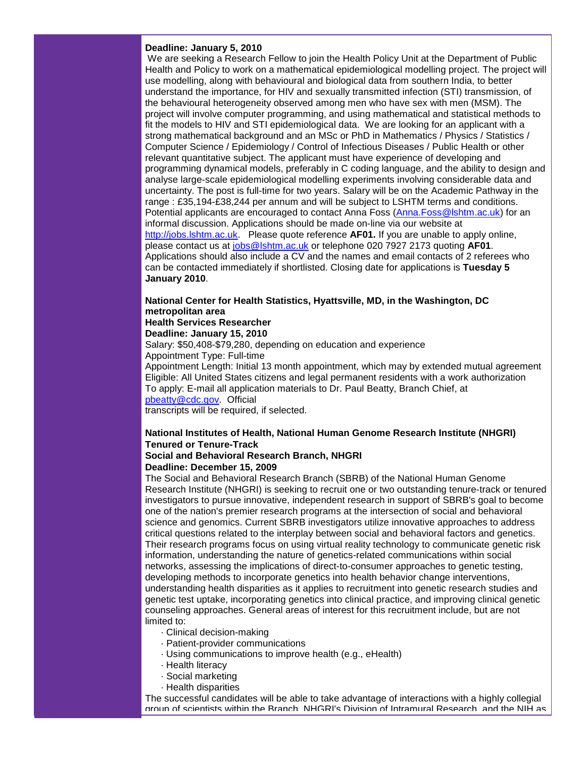#### **Deadline: January 5, 2010**

We are seeking a Research Fellow to join the Health Policy Unit at the Department of Public Health and Policy to work on a mathematical epidemiological modelling project. The project will use modelling, along with behavioural and biological data from southern India, to better understand the importance, for HIV and sexually transmitted infection (STI) transmission, of the behavioural heterogeneity observed among men who have sex with men (MSM). The project will involve computer programming, and using mathematical and statistical methods to fit the models to HIV and STI epidemiological data. We are looking for an applicant with a strong mathematical background and an MSc or PhD in Mathematics / Physics / Statistics / Computer Science / Epidemiology / Control of Infectious Diseases / Public Health or other relevant quantitative subject. The applicant must have experience of developing and programming dynamical models, preferably in C coding language, and the ability to design and analyse large-scale epidemiological modelling experiments involving considerable data and uncertainty. The post is full-time for two years. Salary will be on the Academic Pathway in the range : £35,194-£38,244 per annum and will be subject to LSHTM terms and conditions. Potential applicants are encouraged to contact Anna Foss [\(Anna.Foss@lshtm.ac.uk\)](mailto:Anna.Foss@lshtm.ac.uk) for an informal discussion. Applications should be made on-line via our website at [http://jobs.lshtm.ac.uk.](http://rs6.net/tn.jsp?et=1102879386537&s=1&e=001kE47ijvqqg4FNDggmY1WwaFz98zuC-ET0ovvpMxIpEbxgRYPcTBf2owUuAJjIpLHoXSdvpagtjLZJEbY1nJpB4GCOH6qLX51cInVAIk9zgA=) Please quote reference **AF01.** If you are unable to apply online, please contact us at [jobs@lshtm.ac.uk](mailto:jobs@lshtm.ac.uk) or telephone 020 7927 2173 quoting **AF01**. Applications should also include a CV and the names and email contacts of 2 referees who can be contacted immediately if shortlisted. Closing date for applications is **Tuesday 5 January 2010**.

#### **National Center for Health Statistics, Hyattsville, MD, in the Washington, DC metropolitan area Health Services Researcher**

**Deadline: January 15, 2010**

Salary: \$50,408-\$79,280, depending on education and experience Appointment Type: Full-time

Appointment Length: Initial 13 month appointment, which may by extended mutual agreement Eligible: All United States citizens and legal permanent residents with a work authorization To apply: E-mail all application materials to Dr. Paul Beatty, Branch Chief, at [pbeatty@cdc.gov.](mailto:pbeatty@cdc.gov) Official

transcripts will be required, if selected.

#### **National Institutes of Health, National Human Genome Research Institute (NHGRI) Tenured or Tenure-Track**

# **Social and Behavioral Research Branch, NHGRI**

# **Deadline: December 15, 2009**

The Social and Behavioral Research Branch (SBRB) of the National Human Genome Research Institute (NHGRI) is seeking to recruit one or two outstanding tenure-track or tenured investigators to pursue innovative, independent research in support of SBRB's goal to become one of the nation's premier research programs at the intersection of social and behavioral science and genomics. Current SBRB investigators utilize innovative approaches to address critical questions related to the interplay between social and behavioral factors and genetics. Their research programs focus on using virtual reality technology to communicate genetic risk information, understanding the nature of genetics-related communications within social networks, assessing the implications of direct-to-consumer approaches to genetic testing, developing methods to incorporate genetics into health behavior change interventions, understanding health disparities as it applies to recruitment into genetic research studies and genetic test uptake, incorporating genetics into clinical practice, and improving clinical genetic counseling approaches. General areas of interest for this recruitment include, but are not limited to:

- · Clinical decision-making
- · Patient-provider communications
- · Using communications to improve health (e.g., eHealth)
- · Health literacy
- · Social marketing
- · Health disparities

The successful candidates will be able to take advantage of interactions with a highly collegial group of scientists within the Branch, NHGRI's Division of Intramural Research, and the NIH as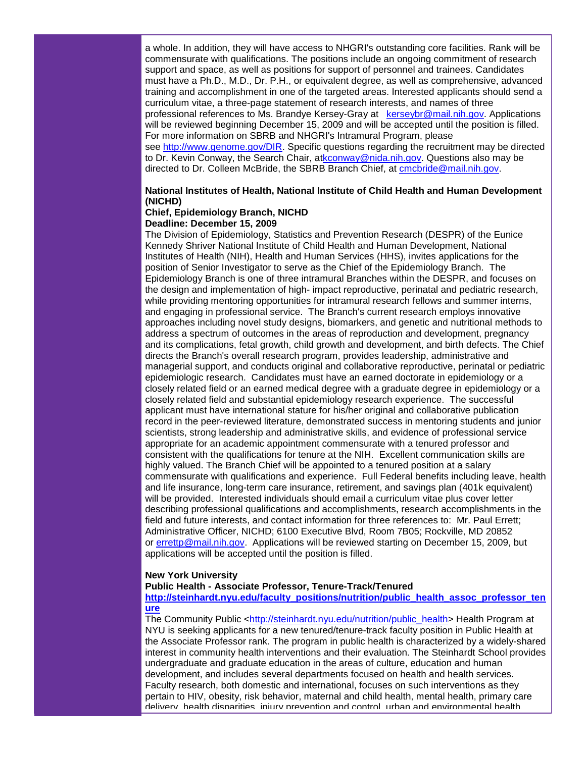a whole. In addition, they will have access to NHGRI's outstanding core facilities. Rank will be commensurate with qualifications. The positions include an ongoing commitment of research support and space, as well as positions for support of personnel and trainees. Candidates must have a Ph.D., M.D., Dr. P.H., or equivalent degree, as well as comprehensive, advanced training and accomplishment in one of the targeted areas. Interested applicants should send a curriculum vitae, a three-page statement of research interests, and names of three professional references to Ms. Brandye Kersey-Gray at [kerseybr@mail.nih.gov.](mailto:kerseybr@mail.nih.gov) Applications will be reviewed beginning December 15, 2009 and will be accepted until the position is filled. For more information on SBRB and NHGRI's Intramural Program, please see [http://www.genome.gov/DIR.](http://rs6.net/tn.jsp?et=1102879386537&s=1&e=001kE47ijvqqg7dnqwJorkG4rRm9ToHmazmDM0Z06hPOEjigrskDIsAQ_kTk6THKC8el61eFpzH-HDxmy1kb8AgrCmIKcgtib4fY794U3uIyhiSMkd567c2CA==) Specific questions regarding the recruitment may be directed to Dr. Kevin Conway, the Search Chair, a[tkconway@nida.nih.gov.](mailto:kconway@nida.nih.gov) Questions also may be directed to Dr. Colleen McBride, the SBRB Branch Chief, at [cmcbride@mail.nih.gov.](mailto:cmcbride@mail.nih.gov)

### **National Institutes of Health, National Institute of Child Health and Human Development (NICHD)**

#### **Chief, Epidemiology Branch, NICHD Deadline: December 15, 2009**

The Division of Epidemiology, Statistics and Prevention Research (DESPR) of the Eunice Kennedy Shriver National Institute of Child Health and Human Development, National Institutes of Health (NIH), Health and Human Services (HHS), invites applications for the position of Senior Investigator to serve as the Chief of the Epidemiology Branch. The Epidemiology Branch is one of three intramural Branches within the DESPR, and focuses on the design and implementation of high- impact reproductive, perinatal and pediatric research, while providing mentoring opportunities for intramural research fellows and summer interns, and engaging in professional service. The Branch's current research employs innovative approaches including novel study designs, biomarkers, and genetic and nutritional methods to address a spectrum of outcomes in the areas of reproduction and development, pregnancy and its complications, fetal growth, child growth and development, and birth defects. The Chief directs the Branch's overall research program, provides leadership, administrative and managerial support, and conducts original and collaborative reproductive, perinatal or pediatric epidemiologic research. Candidates must have an earned doctorate in epidemiology or a closely related field or an earned medical degree with a graduate degree in epidemiology or a closely related field and substantial epidemiology research experience. The successful applicant must have international stature for his/her original and collaborative publication record in the peer-reviewed literature, demonstrated success in mentoring students and junior scientists, strong leadership and administrative skills, and evidence of professional service appropriate for an academic appointment commensurate with a tenured professor and consistent with the qualifications for tenure at the NIH. Excellent communication skills are highly valued. The Branch Chief will be appointed to a tenured position at a salary commensurate with qualifications and experience. Full Federal benefits including leave, health and life insurance, long-term care insurance, retirement, and savings plan (401k equivalent) will be provided. Interested individuals should email a curriculum vitae plus cover letter describing professional qualifications and accomplishments, research accomplishments in the field and future interests, and contact information for three references to: Mr. Paul Errett; Administrative Officer, NICHD; 6100 Executive Blvd, Room 7B05; Rockville, MD 20852 or [errettp@mail.nih.gov.](mailto:errettp@mail.nih.gov) Applications will be reviewed starting on December 15, 2009, but applications will be accepted until the position is filled.

#### **New York University**

**Public Health - Associate Professor, Tenure-Track/Tenured**

#### **[http://steinhardt.nyu.edu/faculty\\_positions/nutrition/public\\_health\\_assoc\\_professor\\_ten](http://rs6.net/tn.jsp?et=1102879386537&s=1&e=001kE47ijvqqg43q2Y7VanxMXshNANW75rJIDzHQGB0oXB1vFDPsd02nqWRHCi6YWse_wqapCZ6eWNc-TFzx9JmZGYgKMWY2gZlQ5Hhv2jASBNlOF8NQDssjBd5tDNkHo1qC8MGIJwzeGUon9FJ8AxpAJk4Mf4A-QgPE99gmUEGH8OL-knLM32Jw4MXqVLpRt4mXEnqgxhGwbo=) [ure](http://rs6.net/tn.jsp?et=1102879386537&s=1&e=001kE47ijvqqg43q2Y7VanxMXshNANW75rJIDzHQGB0oXB1vFDPsd02nqWRHCi6YWse_wqapCZ6eWNc-TFzx9JmZGYgKMWY2gZlQ5Hhv2jASBNlOF8NQDssjBd5tDNkHo1qC8MGIJwzeGUon9FJ8AxpAJk4Mf4A-QgPE99gmUEGH8OL-knLM32Jw4MXqVLpRt4mXEnqgxhGwbo=)**

The Community Public [<http://steinhardt.nyu.edu/nutrition/public\\_health>](http://rs6.net/tn.jsp?et=1102879386537&s=1&e=001kE47ijvqqg792Bx8fVmpxpSWc5XJSiaa1ghGm4y8oX6J9JTY-kK6uaJsV6UAbFWmouQP5T9O7QoFif2LW0CN8Emrg-Xvd6-dufKjez-Bz5aVYfflREYyet1t9u01BElSwEdR3xLKTp3cMZHSlGWgPw==) Health Program at NYU is seeking applicants for a new tenured/tenure-track faculty position in Public Health at the Associate Professor rank. The program in public health is characterized by a widely-shared interest in community health interventions and their evaluation. The Steinhardt School provides undergraduate and graduate education in the areas of culture, education and human development, and includes several departments focused on health and health services. Faculty research, both domestic and international, focuses on such interventions as they pertain to HIV, obesity, risk behavior, maternal and child health, mental health, primary care delivery, health disparities, injury prevention and control, urban and environmental health.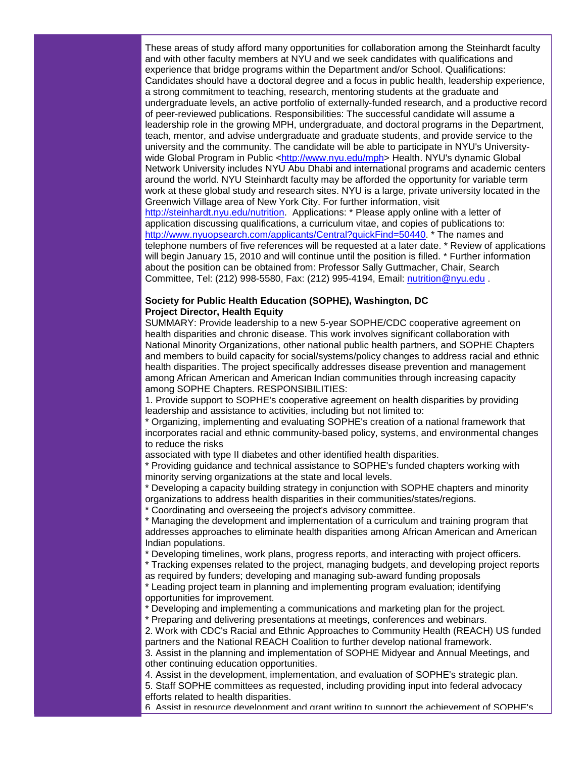These areas of study afford many opportunities for collaboration among the Steinhardt faculty and with other faculty members at NYU and we seek candidates with qualifications and experience that bridge programs within the Department and/or School. Qualifications: Candidates should have a doctoral degree and a focus in public health, leadership experience, a strong commitment to teaching, research, mentoring students at the graduate and undergraduate levels, an active portfolio of externally-funded research, and a productive record of peer-reviewed publications. Responsibilities: The successful candidate will assume a leadership role in the growing MPH, undergraduate, and doctoral programs in the Department, teach, mentor, and advise undergraduate and graduate students, and provide service to the university and the community. The candidate will be able to participate in NYU's University-wide Global Program in Public [<http://www.nyu.edu/mph>](http://rs6.net/tn.jsp?et=1102879386537&s=1&e=001kE47ijvqqg6UlOCHXvTyu7U9DwEHg6zik-9bCLasiphw9dZez86SRAb-y6kebO9emzNDbqAab5TCO01v-J-h01eMajliOongCK0koEpcwC8=) Health. NYU's dynamic Global Network University includes NYU Abu Dhabi and international programs and academic centers around the world. NYU Steinhardt faculty may be afforded the opportunity for variable term work at these global study and research sites. NYU is a large, private university located in the Greenwich Village area of New York City. For further information, visit [http://steinhardt.nyu.edu/nutrition.](http://rs6.net/tn.jsp?et=1102879386537&s=1&e=001kE47ijvqqg79SVRWxyXa1SN4i8esOX9T9VzLZeWI3r4aU0_4EzBGyoFVWYw-kweepvbxjS_h4usCo0lxKxTSUIj-BxUZ71GnmAvAWyJFOdOmX5XI6fJvaxnm83GQ92jL) Applications: \* Please apply online with a letter of application discussing qualifications, a curriculum vitae, and copies of publications to: [http://www.nyuopsearch.com/applicants/Central?quickFind=50440.](http://rs6.net/tn.jsp?et=1102879386537&s=1&e=001kE47ijvqqg7HdXjgRFtTwt7Qzb5RlWNQ-Q84q4culnBbCHj3M83f2E3I461KXy9-qPyuof2bsM_QFIKAad_qrugnV3P2NyDi2CpGo-rdG5Itu1vWW6Y16Q6bmdOsRpuqEXKs5aihozjhasEev6dFJdajT1dmuxxmCXsMs94qISs=) \* The names and telephone numbers of five references will be requested at a later date. \* Review of applications will begin January 15, 2010 and will continue until the position is filled. \* Further information about the position can be obtained from: Professor Sally Guttmacher, Chair, Search Committee, Tel: (212) 998-5580, Fax: (212) 995-4194, Email: [nutrition@nyu.edu](mailto:nutrition@nyu.edu) .

#### **Society for Public Health Education (SOPHE), Washington, DC Project Director, Health Equity**

SUMMARY: Provide leadership to a new 5-year SOPHE/CDC cooperative agreement on health disparities and chronic disease. This work involves significant collaboration with National Minority Organizations, other national public health partners, and SOPHE Chapters and members to build capacity for social/systems/policy changes to address racial and ethnic health disparities. The project specifically addresses disease prevention and management among African American and American Indian communities through increasing capacity among SOPHE Chapters. RESPONSIBILITIES:

1. Provide support to SOPHE's cooperative agreement on health disparities by providing leadership and assistance to activities, including but not limited to:

\* Organizing, implementing and evaluating SOPHE's creation of a national framework that incorporates racial and ethnic community-based policy, systems, and environmental changes to reduce the risks

associated with type II diabetes and other identified health disparities.

\* Providing guidance and technical assistance to SOPHE's funded chapters working with minority serving organizations at the state and local levels.

\* Developing a capacity building strategy in conjunction with SOPHE chapters and minority organizations to address health disparities in their communities/states/regions.

\* Coordinating and overseeing the project's advisory committee.

\* Managing the development and implementation of a curriculum and training program that addresses approaches to eliminate health disparities among African American and American Indian populations.

\* Developing timelines, work plans, progress reports, and interacting with project officers.

\* Tracking expenses related to the project, managing budgets, and developing project reports as required by funders; developing and managing sub-award funding proposals

\* Leading project team in planning and implementing program evaluation; identifying opportunities for improvement.

\* Developing and implementing a communications and marketing plan for the project.

\* Preparing and delivering presentations at meetings, conferences and webinars.

2. Work with CDC's Racial and Ethnic Approaches to Community Health (REACH) US funded partners and the National REACH Coalition to further develop national framework.

3. Assist in the planning and implementation of SOPHE Midyear and Annual Meetings, and other continuing education opportunities.

4. Assist in the development, implementation, and evaluation of SOPHE's strategic plan.

5. Staff SOPHE committees as requested, including providing input into federal advocacy efforts related to health disparities.

6. Assist in resource development and grant writing to support the achievement of SOPHE's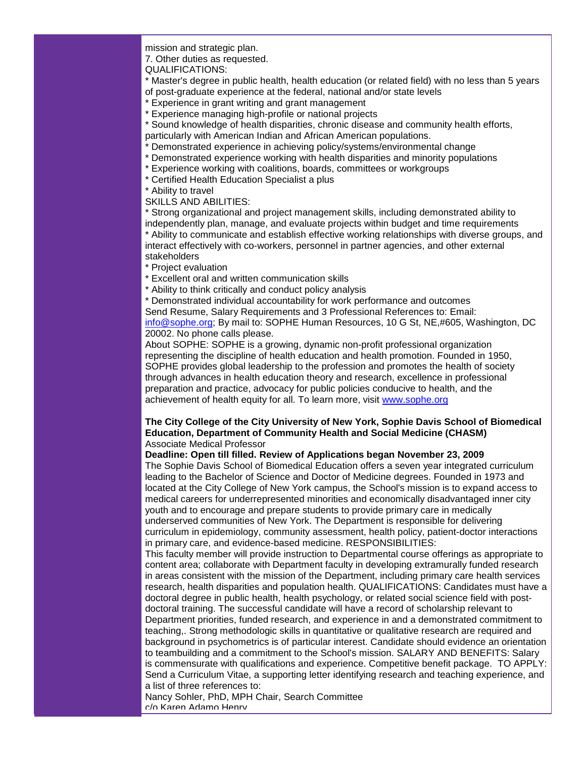mission and strategic plan.

7. Other duties as requested.

QUALIFICATIONS:

\* Master's degree in public health, health education (or related field) with no less than 5 years of post-graduate experience at the federal, national and/or state levels

\* Experience in grant writing and grant management

\* Experience managing high-profile or national projects

\* Sound knowledge of health disparities, chronic disease and community health efforts, particularly with American Indian and African American populations.

- Demonstrated experience in achieving policy/systems/environmental change
- \* Demonstrated experience working with health disparities and minority populations
- \* Experience working with coalitions, boards, committees or workgroups
- \* Certified Health Education Specialist a plus
- \* Ability to travel

SKILLS AND ABILITIES:

Strong organizational and project management skills, including demonstrated ability to independently plan, manage, and evaluate projects within budget and time requirements \* Ability to communicate and establish effective working relationships with diverse groups, and interact effectively with co-workers, personnel in partner agencies, and other external stakeholders

\* Project evaluation

\* Excellent oral and written communication skills

\* Ability to think critically and conduct policy analysis

\* Demonstrated individual accountability for work performance and outcomes

Send Resume, Salary Requirements and 3 Professional References to: Email:

[info@sophe.org;](mailto:info@sophe.org) By mail to: SOPHE Human Resources, 10 G St, NE,#605, Washington, DC 20002. No phone calls please.

About SOPHE: SOPHE is a growing, dynamic non-profit professional organization representing the discipline of health education and health promotion. Founded in 1950, SOPHE provides global leadership to the profession and promotes the health of society through advances in health education theory and research, excellence in professional preparation and practice, advocacy for public policies conducive to health, and the achievement of health equity for all. To learn more, visit [www.sophe.org](http://rs6.net/tn.jsp?et=1102879386537&s=1&e=001kE47ijvqqg6Gp4LnR-ggZzm-CU-tD46Udg6JDHVsp9Jv6Q-uB0vwdSI7-ZvvTskuY4FLiTv7l_vuuvJQ2JaxvhI2f2VIjTkb2UGoIAFB7Do=)

#### **The City College of the City University of New York, Sophie Davis School of Biomedical Education, Department of Community Health and Social Medicine (CHASM)** Associate Medical Professor

**Deadline: Open till filled. Review of Applications began November 23, 2009**

The Sophie Davis School of Biomedical Education offers a seven year integrated curriculum leading to the Bachelor of Science and Doctor of Medicine degrees. Founded in 1973 and located at the City College of New York campus, the School's mission is to expand access to medical careers for underrepresented minorities and economically disadvantaged inner city youth and to encourage and prepare students to provide primary care in medically underserved communities of New York. The Department is responsible for delivering curriculum in epidemiology, community assessment, health policy, patient-doctor interactions in primary care, and evidence-based medicine. RESPONSIBILITIES:

This faculty member will provide instruction to Departmental course offerings as appropriate to content area; collaborate with Department faculty in developing extramurally funded research in areas consistent with the mission of the Department, including primary care health services research, health disparities and population health. QUALIFICATIONS: Candidates must have a doctoral degree in public health, health psychology, or related social science field with postdoctoral training. The successful candidate will have a record of scholarship relevant to Department priorities, funded research, and experience in and a demonstrated commitment to teaching,. Strong methodologic skills in quantitative or qualitative research are required and background in psychometrics is of particular interest. Candidate should evidence an orientation to teambuilding and a commitment to the School's mission. SALARY AND BENEFITS: Salary is commensurate with qualifications and experience. Competitive benefit package. TO APPLY: Send a Curriculum Vitae, a supporting letter identifying research and teaching experience, and a list of three references to:

Nancy Sohler, PhD, MPH Chair, Search Committee c/o Karen Adamo Henry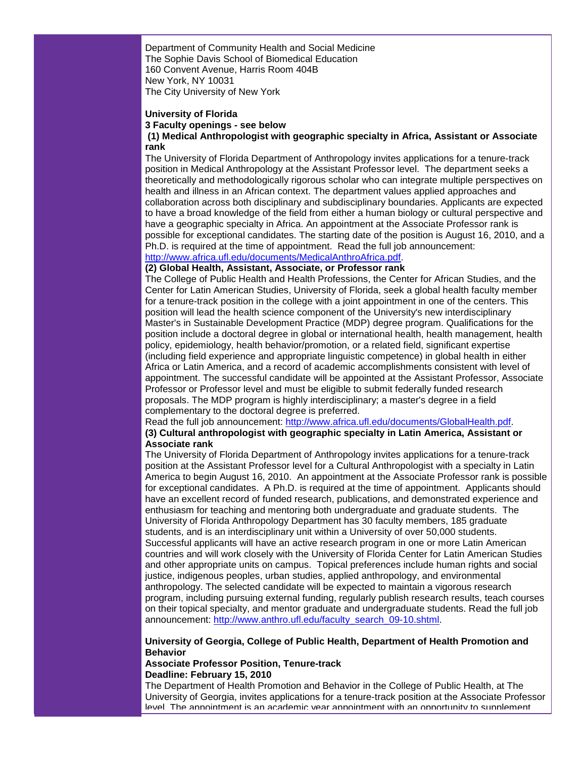Department of Community Health and Social Medicine The Sophie Davis School of Biomedical Education 160 Convent Avenue, Harris Room 404B New York, NY 10031

The City University of New York

# **University of Florida 3 Faculty openings - see below**

#### **(1) Medical Anthropologist with geographic specialty in Africa, Assistant or Associate rank**

The University of Florida Department of Anthropology invites applications for a tenure-track position in Medical Anthropology at the Assistant Professor level. The department seeks a theoretically and methodologically rigorous scholar who can integrate multiple perspectives on health and illness in an African context. The department values applied approaches and collaboration across both disciplinary and subdisciplinary boundaries. Applicants are expected to have a broad knowledge of the field from either a human biology or cultural perspective and have a geographic specialty in Africa. An appointment at the Associate Professor rank is possible for exceptional candidates. The starting date of the position is August 16, 2010, and a Ph.D. is required at the time of appointment. Read the full job announcement: [http://www.africa.ufl.edu/documents/MedicalAnthroAfrica.pdf.](http://rs6.net/tn.jsp?et=1102879386537&s=1&e=001kE47ijvqqg4p3vfbK7B9I9ByqUBRnLDq6-gbEILDp-1usIrJNFXL8S7RRZcGKFpr69hiRoTQTeYNtShxCf_f_4DadPeOKjyuyZmNJljdnOjXj2gY-fX-D5N5lXOWtuFd2KF_gi19YLyV6jJipdwLAUA737K0q1HW)

#### **(2) Global Health, Assistant, Associate, or Professor rank**

The College of Public Health and Health Professions, the Center for African Studies, and the Center for Latin American Studies, University of Florida, seek a global health faculty member for a tenure-track position in the college with a joint appointment in one of the centers. This position will lead the health science component of the University's new interdisciplinary Master's in Sustainable Development Practice (MDP) degree program. Qualifications for the position include a doctoral degree in global or international health, health management, health policy, epidemiology, health behavior/promotion, or a related field, significant expertise (including field experience and appropriate linguistic competence) in global health in either Africa or Latin America, and a record of academic accomplishments consistent with level of appointment. The successful candidate will be appointed at the Assistant Professor, Associate Professor or Professor level and must be eligible to submit federally funded research proposals. The MDP program is highly interdisciplinary; a master's degree in a field complementary to the doctoral degree is preferred.

Read the full job announcement: [http://www.africa.ufl.edu/documents/GlobalHealth.pdf.](http://rs6.net/tn.jsp?et=1102879386537&s=1&e=001kE47ijvqqg53eyyWOQ9bnLNj8Y1oXBMzUBU8ttldH0DarQlBTOnpEsbMLV-ak-aWh6Cw3B2qq7tpFaZrKXB6GHBflrmzzYeGfzZuq8NJylHzVT8TMGAAJF5II9ESyEziO2hRAu4GzIG7ufFP22v4OA==)

#### **(3) Cultural anthropologist with geographic specialty in Latin America, Assistant or Associate rank**

The University of Florida Department of Anthropology invites applications for a tenure-track position at the Assistant Professor level for a Cultural Anthropologist with a specialty in Latin America to begin August 16, 2010. An appointment at the Associate Professor rank is possible for exceptional candidates. A Ph.D. is required at the time of appointment. Applicants should have an excellent record of funded research, publications, and demonstrated experience and enthusiasm for teaching and mentoring both undergraduate and graduate students. The University of Florida Anthropology Department has 30 faculty members, 185 graduate students, and is an interdisciplinary unit within a University of over 50,000 students. Successful applicants will have an active research program in one or more Latin American countries and will work closely with the University of Florida Center for Latin American Studies and other appropriate units on campus. Topical preferences include human rights and social justice, indigenous peoples, urban studies, applied anthropology, and environmental anthropology. The selected candidate will be expected to maintain a vigorous research program, including pursuing external funding, regularly publish research results, teach courses on their topical specialty, and mentor graduate and undergraduate students. Read the full job announcement: [http://www.anthro.ufl.edu/faculty\\_search\\_09-10.shtml.](http://rs6.net/tn.jsp?et=1102879386537&s=1&e=001kE47ijvqqg5nG3nuyQTttv-Guwil5ewT21-atMgIBJG-mAz_LXwO_ahPtPh_MFPBLQ-gQTpJ34Ta53RROSmzBJw8AuL-gS5nA0a5kdPCpDK94yU8BR7ggN16Zgh4NFuebTAKE2w_dSdwsmUhk49h_A==)

#### **University of Georgia, College of Public Health, Department of Health Promotion and Behavior**

#### **Associate Professor Position, Tenure-track Deadline: February 15, 2010**

The Department of Health Promotion and Behavior in the College of Public Health, at The University of Georgia, invites applications for a tenure-track position at the Associate Professor level. The appointment is an academic year appointment with an opportunity to supplement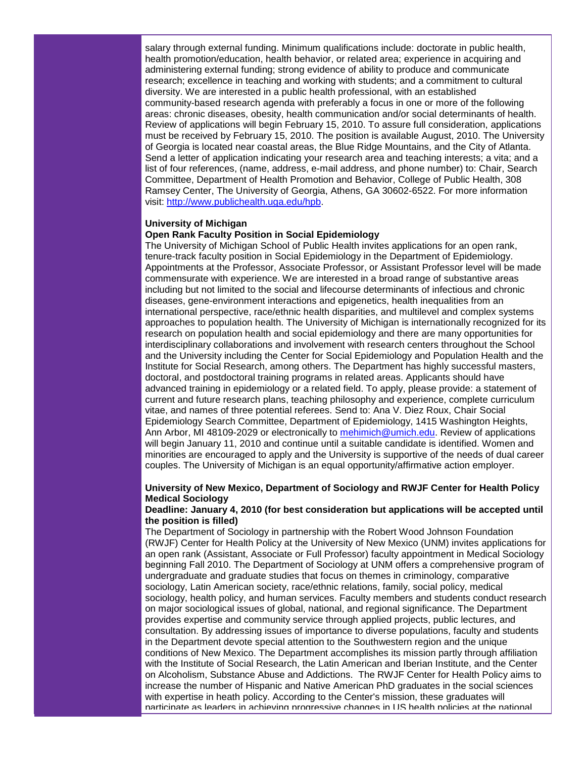salary through external funding. Minimum qualifications include: doctorate in public health, health promotion/education, health behavior, or related area; experience in acquiring and administering external funding; strong evidence of ability to produce and communicate research; excellence in teaching and working with students; and a commitment to cultural diversity. We are interested in a public health professional, with an established community-based research agenda with preferably a focus in one or more of the following areas: chronic diseases, obesity, health communication and/or social determinants of health. Review of applications will begin February 15, 2010. To assure full consideration, applications must be received by February 15, 2010. The position is available August, 2010. The University of Georgia is located near coastal areas, the Blue Ridge Mountains, and the City of Atlanta. Send a letter of application indicating your research area and teaching interests; a vita; and a list of four references, (name, address, e-mail address, and phone number) to: Chair, Search Committee, Department of Health Promotion and Behavior, College of Public Health, 308 Ramsey Center, The University of Georgia, Athens, GA 30602-6522. For more information visit: [http://www.publichealth.uga.edu/hpb.](http://rs6.net/tn.jsp?et=1102879386537&s=1&e=001kE47ijvqqg44VVJWUVWXB6MuA49IRjfj3ekQJdfBcI-Pu3I4OQPQFgJtPqEhQ44C8noSShUL2e_sejC-PjWo4IC1yLc4N7eaoV8T3L3RSE_mQXtpI7PRL04weYup5rkr)

#### **University of Michigan**

#### **Open Rank Faculty Position in Social Epidemiology**

The University of Michigan School of Public Health invites applications for an open rank, tenure-track faculty position in Social Epidemiology in the Department of Epidemiology. Appointments at the Professor, Associate Professor, or Assistant Professor level will be made commensurate with experience. We are interested in a broad range of substantive areas including but not limited to the social and lifecourse determinants of infectious and chronic diseases, gene-environment interactions and epigenetics, health inequalities from an international perspective, race/ethnic health disparities, and multilevel and complex systems approaches to population health. The University of Michigan is internationally recognized for its research on population health and social epidemiology and there are many opportunities for interdisciplinary collaborations and involvement with research centers throughout the School and the University including the Center for Social Epidemiology and Population Health and the Institute for Social Research, among others. The Department has highly successful masters, doctoral, and postdoctoral training programs in related areas. Applicants should have advanced training in epidemiology or a related field. To apply, please provide: a statement of current and future research plans, teaching philosophy and experience, complete curriculum vitae, and names of three potential referees. Send to: Ana V. Diez Roux, Chair Social Epidemiology Search Committee, Department of Epidemiology, 1415 Washington Heights, Ann Arbor, MI 48109-2029 or electronically to [mehimich@umich.edu.](mailto:mehimich@umich.edu) Review of applications will begin January 11, 2010 and continue until a suitable candidate is identified. Women and minorities are encouraged to apply and the University is supportive of the needs of dual career couples. The University of Michigan is an equal opportunity/affirmative action employer.

#### **University of New Mexico, Department of Sociology and RWJF Center for Health Policy Medical Sociology**

#### **Deadline: January 4, 2010 (for best consideration but applications will be accepted until the position is filled)**

The Department of Sociology in partnership with the Robert Wood Johnson Foundation (RWJF) Center for Health Policy at the University of New Mexico (UNM) invites applications for an open rank (Assistant, Associate or Full Professor) faculty appointment in Medical Sociology beginning Fall 2010. The Department of Sociology at UNM offers a comprehensive program of undergraduate and graduate studies that focus on themes in criminology, comparative sociology, Latin American society, race/ethnic relations, family, social policy, medical sociology, health policy, and human services. Faculty members and students conduct research on major sociological issues of global, national, and regional significance. The Department provides expertise and community service through applied projects, public lectures, and consultation. By addressing issues of importance to diverse populations, faculty and students in the Department devote special attention to the Southwestern region and the unique conditions of New Mexico. The Department accomplishes its mission partly through affiliation with the Institute of Social Research, the Latin American and Iberian Institute, and the Center on Alcoholism, Substance Abuse and Addictions. The RWJF Center for Health Policy aims to increase the number of Hispanic and Native American PhD graduates in the social sciences with expertise in heath policy. According to the Center's mission, these graduates will participate as leaders in achieving progressive changes in US health policies at the national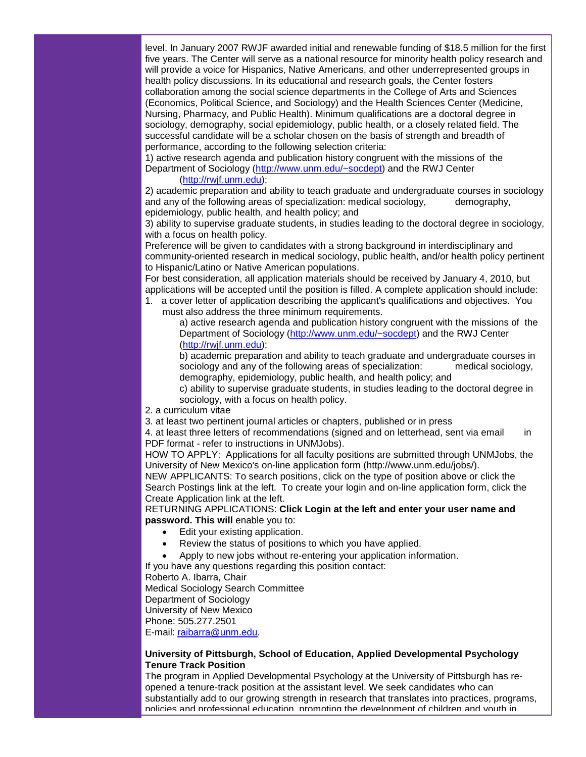level. In January 2007 RWJF awarded initial and renewable funding of \$18.5 million for the first five years. The Center will serve as a national resource for minority health policy research and will provide a voice for Hispanics, Native Americans, and other underrepresented groups in health policy discussions. In its educational and research goals, the Center fosters collaboration among the social science departments in the College of Arts and Sciences (Economics, Political Science, and Sociology) and the Health Sciences Center (Medicine, Nursing, Pharmacy, and Public Health). Minimum qualifications are a doctoral degree in sociology, demography, social epidemiology, public health, or a closely related field. The successful candidate will be a scholar chosen on the basis of strength and breadth of performance, according to the following selection criteria:

1) active research agenda and publication history congruent with the missions of the Department of Sociology [\(http://www.unm.edu/~socdept\)](http://rs6.net/tn.jsp?et=1102879386537&s=1&e=001kE47ijvqqg4CuRcnAkv6q-SkbrTDevHLCQ6wlkNJxC8YR020r2erug-fO3vQrNV6D1S2sUMNWc5cqfcGyibb7mViI0XMyjnmDxvSLRk-1iZ6n0xqVlvEjw==) and the RWJ Center

# [\(http://rwjf.unm.edu\)](http://rs6.net/tn.jsp?et=1102879386537&s=1&e=001kE47ijvqqg7XU7VLfZ4HF0QK-xrlfAc42KuQuwBj_cO0Wh6jK6bepMb0zLRwegiD3DGNj8G6IY4ILF6fhzpGsANuHGMXACqUlpSIZO2VQuo=);

2) academic preparation and ability to teach graduate and undergraduate courses in sociology and any of the following areas of specialization: medical sociology, early demography, epidemiology, public health, and health policy; and

3) ability to supervise graduate students, in studies leading to the doctoral degree in sociology, with a focus on health policy.

Preference will be given to candidates with a strong background in interdisciplinary and community-oriented research in medical sociology, public health, and/or health policy pertinent to Hispanic/Latino or Native American populations.

For best consideration, all application materials should be received by January 4, 2010, but applications will be accepted until the position is filled. A complete application should include:

1. a cover letter of application describing the applicant's qualifications and objectives. You must also address the three minimum requirements.

a) active research agenda and publication history congruent with the missions of the Department of Sociology [\(http://www.unm.edu/~socdept\)](http://rs6.net/tn.jsp?et=1102879386537&s=1&e=001kE47ijvqqg4CuRcnAkv6q-SkbrTDevHLCQ6wlkNJxC8YR020r2erug-fO3vQrNV6D1S2sUMNWc5cqfcGyibb7mViI0XMyjnmDxvSLRk-1iZ6n0xqVlvEjw==) and the RWJ Center [\(http://rwjf.unm.edu\)](http://rs6.net/tn.jsp?et=1102879386537&s=1&e=001kE47ijvqqg7XU7VLfZ4HF0QK-xrlfAc42KuQuwBj_cO0Wh6jK6bepMb0zLRwegiD3DGNj8G6IY4ILF6fhzpGsANuHGMXACqUlpSIZO2VQuo=);

b) academic preparation and ability to teach graduate and undergraduate courses in sociology and any of the following areas of specialization: medical sociology, demography, epidemiology, public health, and health policy; and

c) ability to supervise graduate students, in studies leading to the doctoral degree in sociology, with a focus on health policy.

- 2. a curriculum vitae
- 3. at least two pertinent journal articles or chapters, published or in press

4. at least three letters of recommendations (signed and on letterhead, sent via email in PDF format - refer to instructions in UNMJobs).

HOW TO APPLY: Applications for all faculty positions are submitted through UNMJobs, the University of New Mexico's on-line application form (http://www.unm.edu/jobs/).

NEW APPLICANTS: To search positions, click on the type of position above or click the Search Postings link at the left. To create your login and on-line application form, click the Create Application link at the left.

RETURNING APPLICATIONS: **Click Login at the left and enter your user name and password. This will** enable you to:

- Edit your existing application.
- Review the status of positions to which you have applied.
- Apply to new jobs without re-entering your application information.

If you have any questions regarding this position contact:

Roberto A. Ibarra, Chair

Medical Sociology Search Committee

Department of Sociology

University of New Mexico

Phone: 505.277.2501

E-mail: [raibarra@unm.edu.](mailto:raibarra@unm.edu)

#### **University of Pittsburgh, School of Education, Applied Developmental Psychology Tenure Track Position**

The program in Applied Developmental Psychology at the University of Pittsburgh has reopened a tenure-track position at the assistant level. We seek candidates who can substantially add to our growing strength in research that translates into practices, programs, policies and professional education, promoting the development of children and youth in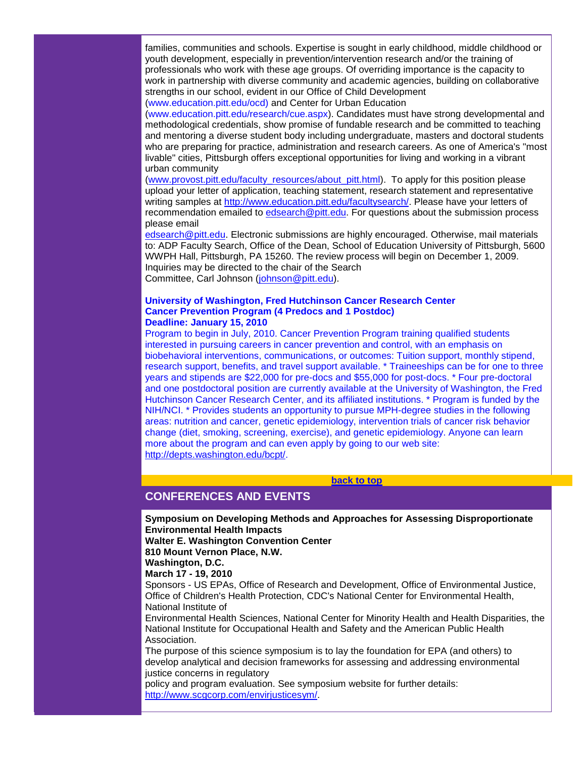families, communities and schools. Expertise is sought in early childhood, middle childhood or youth development, especially in prevention/intervention research and/or the training of professionals who work with these age groups. Of overriding importance is the capacity to work in partnership with diverse community and academic agencies, building on collaborative strengths in our school, evident in our Office of Child Development

(www.education.pitt.edu/ocd) and Center for Urban Education

(www.education.pitt.edu/research/cue.aspx). Candidates must have strong developmental and methodological credentials, show promise of fundable research and be committed to teaching and mentoring a diverse student body including undergraduate, masters and doctoral students who are preparing for practice, administration and research careers. As one of America's "most livable" cities, Pittsburgh offers exceptional opportunities for living and working in a vibrant urban community

[\(www.provost.pitt.edu/faculty\\_resources/about\\_pitt.html\)](http://rs6.net/tn.jsp?et=1102879386537&s=1&e=001kE47ijvqqg6OWl3xWCKjo2h3nxXO4qcHbMtpL5sYafS-oSQEbY9laaz_PSUrqRZKNB3w_iTM3k8Wd2P7Ue8i-hIBXuDbeVpV6kviMVNZVhMo3ew1FWWDHJFDwhKyY_xxxLzXTlWVJ1wTKzUtwqs675wBnvAphoJY). To apply for this position please upload your letter of application, teaching statement, research statement and representative writing samples at [http://www.education.pitt.edu/facultysearch/.](http://rs6.net/tn.jsp?et=1102879386537&s=1&e=001kE47ijvqqg6CYO_GVecrtBgu9sB5POBLqH2LozzfDRCNH9Ajul46B6V90HxgBXGCgzbR4btgBJ5DCY0ERymY1IHs93YDrXeLQoxBSRoSN2Bn3rfTfFfgR0O7rEwwPqX9JHSTCw-rOj4=) Please have your letters of recommendation emailed to [edsearch@pitt.edu.](mailto:edsearch@pitt.edu) For questions about the submission process please email

[edsearch@pitt.edu.](mailto:edsearch@pitt.edu) Electronic submissions are highly encouraged. Otherwise, mail materials to: ADP Faculty Search, Office of the Dean, School of Education University of Pittsburgh, 5600 WWPH Hall, Pittsburgh, PA 15260. The review process will begin on December 1, 2009. Inquiries may be directed to the chair of the Search Committee, Carl Johnson [\(johnson@pitt.edu\)](mailto:johnson@pitt.edu).

#### **University of Washington, Fred Hutchinson Cancer Research Center Cancer Prevention Program (4 Predocs and 1 Postdoc) Deadline: January 15, 2010**

Program to begin in July, 2010. Cancer Prevention Program training qualified students interested in pursuing careers in cancer prevention and control, with an emphasis on biobehavioral interventions, communications, or outcomes: Tuition support, monthly stipend, research support, benefits, and travel support available. \* Traineeships can be for one to three years and stipends are \$22,000 for pre-docs and \$55,000 for post-docs. \* Four pre-doctoral and one postdoctoral position are currently available at the University of Washington, the Fred Hutchinson Cancer Research Center, and its affiliated institutions. \* Program is funded by the NIH/NCI. \* Provides students an opportunity to pursue MPH-degree studies in the following areas: nutrition and cancer, genetic epidemiology, intervention trials of cancer risk behavior change (diet, smoking, screening, exercise), and genetic epidemiology. Anyone can learn more about the program and can even apply by going to our web site: [http://depts.washington.edu/bcpt/.](http://rs6.net/tn.jsp?et=1102879386537&s=1&e=001kE47ijvqqg4W_6ISe1uU6QlvkZnYH8iZBbMhwxKgMyZrNgA5qHDL9-4Hd564jPMqe0ZIaK2_xtrjvkcqu6IOQ28Stmc-zPRlpRcsvB678ljVrgYmKd4XAREDc6GBjA9f)

#### **[back to top](#page-0-1)**

# <span id="page-22-0"></span>**CONFERENCES AND EVENTS**

**Symposium on Developing Methods and Approaches for Assessing Disproportionate Environmental Health Impacts**

**Walter E. Washington Convention Center**

**810 Mount Vernon Place, N.W.**

**Washington, D.C.**

#### **March 17 - 19, 2010**

Sponsors - US EPAs, Office of Research and Development, Office of Environmental Justice, Office of Children's Health Protection, CDC's National Center for Environmental Health, National Institute of

Environmental Health Sciences, National Center for Minority Health and Health Disparities, the National Institute for Occupational Health and Safety and the American Public Health Association.

The purpose of this science symposium is to lay the foundation for EPA (and others) to develop analytical and decision frameworks for assessing and addressing environmental justice concerns in regulatory

policy and program evaluation. See symposium website for further details: [http://www.scgcorp.com/envirjusticesym/.](http://rs6.net/tn.jsp?et=1102879386537&s=1&e=001kE47ijvqqg4dAz9mfsVXfeonbtHM2l5o1d5GvgfnyeYMRyKw-iVVZgKjD90Feb7PkhIGu5URo5gc07LssiKh2ItW04N7-pKg372_Owx4WHE-92ujCcCtT4ocImB03B_KZT8Kwwxs28E=)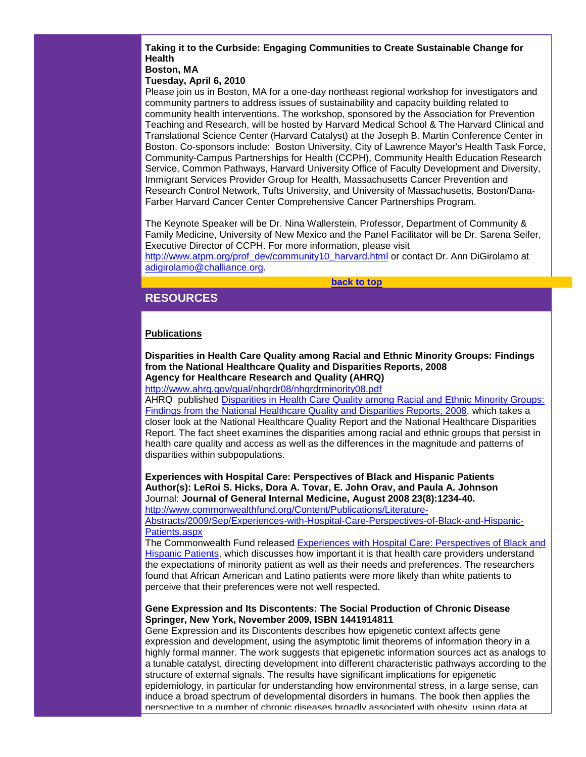# **Taking it to the Curbside: Engaging Communities to Create Sustainable Change for Health**

# **Boston, MA**

# **Tuesday, April 6, 2010**

Please join us in Boston, MA for a one-day northeast regional workshop for investigators and community partners to address issues of sustainability and capacity building related to community health interventions. The workshop, sponsored by the Association for Prevention Teaching and Research, will be hosted by Harvard Medical School & The Harvard Clinical and Translational Science Center (Harvard Catalyst) at the Joseph B. Martin Conference Center in Boston. Co-sponsors include: Boston University, City of Lawrence Mayor's Health Task Force, Community-Campus Partnerships for Health (CCPH), Community Health Education Research Service, Common Pathways, Harvard University Office of Faculty Development and Diversity, Immigrant Services Provider Group for Health, Massachusetts Cancer Prevention and Research Control Network, Tufts University, and University of Massachusetts, Boston/Dana-Farber Harvard Cancer Center Comprehensive Cancer Partnerships Program.

The Keynote Speaker will be Dr. Nina Wallerstein, Professor, Department of Community & Family Medicine, University of New Mexico and the Panel Facilitator will be Dr. Sarena Seifer, Executive Director of CCPH. For more information, please visit

[http://www.atpm.org/prof\\_dev/community10\\_harvard.html](http://rs6.net/tn.jsp?et=1102879386537&s=1&e=001kE47ijvqqg4yLBQVEPuKNRwJReaFX5sLG997UAms0eFwu3kdryEiqL97fWZsvWuhyUUgKod0kjeOD806poL5DZgu-IJ4WRs8-FUm6UerQujaJb0Rdc-tMXuBPbbnNOBBjxdnTbRHuQFpylcLyzcU0Q==) or contact Dr. Ann DiGirolamo at [adigirolamo@challiance.org.](mailto:adigirolamo@challiance.org)

#### **[back to top](#page-0-1)**

# <span id="page-23-0"></span>**RESOURCES**

#### **Publications**

**Disparities in Health Care Quality among Racial and Ethnic Minority Groups: Findings from the National Healthcare Quality and Disparities Reports, 2008 Agency for Healthcare Research and Quality (AHRQ)**

# [http://www.ahrq.gov/qual/nhqrdr08/nhqrdrminority08.pdf](http://rs6.net/tn.jsp?et=1102879386537&s=1&e=001kE47ijvqqg7wr-xFBovau-r2WrdYq1-6HT96OYGzCf-U7z8zMHlmUrgtc7pE1Qc3klnSvwaaX_dxMyFBc5JvqWfR2XTi1pcMRQRjwy1qu8Sy5jH6-1kbkKMDb0MnAfl-EfP0QF3NuRpeJKvzldk0hDa7ze0euYWm)

AHRQ published [Disparities in Health Care Quality among Racial and Ethnic Minority Groups:](http://rs6.net/tn.jsp?et=1102879386537&s=1&e=001kE47ijvqqg7wr-xFBovau-r2WrdYq1-6HT96OYGzCf-U7z8zMHlmUrgtc7pE1Qc3klnSvwaaX_dxMyFBc5JvqWfR2XTi1pcMRQRjwy1qu8Sy5jH6-1kbkKMDb0MnAfl-EfP0QF3NuRpeJKvzldk0hDa7ze0euYWm)  [Findings from the National Healthcare Quality and Disparities Reports, 2008,](http://rs6.net/tn.jsp?et=1102879386537&s=1&e=001kE47ijvqqg7wr-xFBovau-r2WrdYq1-6HT96OYGzCf-U7z8zMHlmUrgtc7pE1Qc3klnSvwaaX_dxMyFBc5JvqWfR2XTi1pcMRQRjwy1qu8Sy5jH6-1kbkKMDb0MnAfl-EfP0QF3NuRpeJKvzldk0hDa7ze0euYWm) which takes a closer look at the National Healthcare Quality Report and the National Healthcare Disparities Report. The fact sheet examines the disparities among racial and ethnic groups that persist in health care quality and access as well as the differences in the magnitude and patterns of disparities within subpopulations.

**Experiences with Hospital Care: Perspectives of Black and Hispanic Patients Author(s): LeRoi S. Hicks, Dora A. Tovar, E. John Orav, and Paula A. Johnson**  Journal: **Journal of General Internal Medicine, August 2008 23(8):1234-40.**  [http://www.commonwealthfund.org/Content/Publications/Literature-](http://rs6.net/tn.jsp?et=1102879386537&s=1&e=001kE47ijvqqg4asI2BOWkE6sjG77BwvhIh1UHyFlsk9UZDgFkaxnLNB1dE5IRcIOBrRrnY8zULkLnw_Hg4eItmYPn_K0LoPup6uQ3s9HP01LD67haY36w4gim7PfXoiXkhJoqS-BPT0Ux5qH1tkyxfa0CcMukJgLo6ZY4w84CMiQk6UIu0KjCoSfUJEMEo0O0MUiVKsgKN0amRBPfscfw0fxa3nDJp_OdJdj8JhD8k4IfL9B8Sppt5Ae0aaakigo3wpFyyHYARebN2EonTvqkt12KHp-QbV5va4VeJWVaHPsKp7JVnRhdg2A==)

[Abstracts/2009/Sep/Experiences-with-Hospital-Care-Perspectives-of-Black-and-Hispanic-](http://rs6.net/tn.jsp?et=1102879386537&s=1&e=001kE47ijvqqg4asI2BOWkE6sjG77BwvhIh1UHyFlsk9UZDgFkaxnLNB1dE5IRcIOBrRrnY8zULkLnw_Hg4eItmYPn_K0LoPup6uQ3s9HP01LD67haY36w4gim7PfXoiXkhJoqS-BPT0Ux5qH1tkyxfa0CcMukJgLo6ZY4w84CMiQk6UIu0KjCoSfUJEMEo0O0MUiVKsgKN0amRBPfscfw0fxa3nDJp_OdJdj8JhD8k4IfL9B8Sppt5Ae0aaakigo3wpFyyHYARebN2EonTvqkt12KHp-QbV5va4VeJWVaHPsKp7JVnRhdg2A==)[Patients.aspx](http://rs6.net/tn.jsp?et=1102879386537&s=1&e=001kE47ijvqqg4asI2BOWkE6sjG77BwvhIh1UHyFlsk9UZDgFkaxnLNB1dE5IRcIOBrRrnY8zULkLnw_Hg4eItmYPn_K0LoPup6uQ3s9HP01LD67haY36w4gim7PfXoiXkhJoqS-BPT0Ux5qH1tkyxfa0CcMukJgLo6ZY4w84CMiQk6UIu0KjCoSfUJEMEo0O0MUiVKsgKN0amRBPfscfw0fxa3nDJp_OdJdj8JhD8k4IfL9B8Sppt5Ae0aaakigo3wpFyyHYARebN2EonTvqkt12KHp-QbV5va4VeJWVaHPsKp7JVnRhdg2A==)

The Commonwealth Fund released [Experiences with Hospital Care: Perspectives of Black and](http://rs6.net/tn.jsp?et=1102879386537&s=1&e=001kE47ijvqqg4asI2BOWkE6sjG77BwvhIh1UHyFlsk9UZDgFkaxnLNB1dE5IRcIOBrRrnY8zULkLnw_Hg4eItmYPn_K0LoPup6uQ3s9HP01LD67haY36w4gim7PfXoiXkhJoqS-BPT0Ux5qH1tkyxfa0CcMukJgLo6ZY4w84CMiQk6UIu0KjCoSfUJEMEo0O0MUiVKsgKN0amRBPfscfw0fxa3nDJp_OdJdj8JhD8k4IfL9B8Sppt5Ae0aaakigo3wpFyyHYARebN2EonTvqkt12KHp-QbV5va4VeJWVaHPsKp7JVnRhdg2A==)  [Hispanic Patients,](http://rs6.net/tn.jsp?et=1102879386537&s=1&e=001kE47ijvqqg4asI2BOWkE6sjG77BwvhIh1UHyFlsk9UZDgFkaxnLNB1dE5IRcIOBrRrnY8zULkLnw_Hg4eItmYPn_K0LoPup6uQ3s9HP01LD67haY36w4gim7PfXoiXkhJoqS-BPT0Ux5qH1tkyxfa0CcMukJgLo6ZY4w84CMiQk6UIu0KjCoSfUJEMEo0O0MUiVKsgKN0amRBPfscfw0fxa3nDJp_OdJdj8JhD8k4IfL9B8Sppt5Ae0aaakigo3wpFyyHYARebN2EonTvqkt12KHp-QbV5va4VeJWVaHPsKp7JVnRhdg2A==) which discusses how important it is that health care providers understand the expectations of minority patient as well as their needs and preferences. The researchers found that African American and Latino patients were more likely than white patients to perceive that their preferences were not well respected.

#### **Gene Expression and Its Discontents: The Social Production of Chronic Disease Springer, New York, November 2009, ISBN 1441914811**

Gene Expression and its Discontents describes how epigenetic context affects gene expression and development, using the asymptotic limit theorems of information theory in a highly formal manner. The work suggests that epigenetic information sources act as analogs to a tunable catalyst, directing development into different characteristic pathways according to the structure of external signals. The results have significant implications for epigenetic epidemiology, in particular for understanding how environmental stress, in a large sense, can induce a broad spectrum of developmental disorders in humans. The book then applies the perspective to a number of chronic diseases broadly associated with obesity, using data at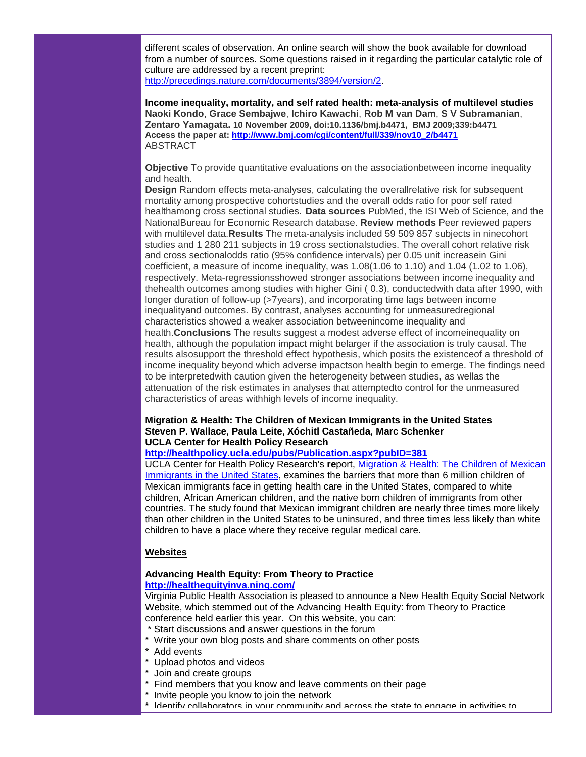different scales of observation. An online search will show the book available for download from a number of sources. Some questions raised in it regarding the particular catalytic role of culture are addressed by a recent preprint: [http://precedings.nature.com/documents/3894/version/2.](http://rs6.net/tn.jsp?et=1102879386537&s=1&e=001kE47ijvqqg4Al8BQTUZGvWOXJv91wLflGVE4kivFoLjH4J0jLQ6_uuNs3Aveo03VbB-za-yRbE5e-9hRmTgwDjYmgKV62PEYtIszhbEEYj4Afu-JlET1kJvqC1Mtm0s1fO-2ikowYwrvfJ52w7E6iu9JM4O8xy69)

**Income inequality, mortality, and self rated health: meta-analysis of multilevel studies Naoki Kondo**, **Grace Sembajwe**, **Ichiro Kawachi**, **Rob M van Dam**, **S V Subramanian**, **Zentaro Yamagata. 10 November 2009, doi:10.1136/bmj.b4471, BMJ 2009;339:b4471 Access the paper at: [http://www.bmj.com/cgi/content/full/339/nov10\\_2/b4471](http://rs6.net/tn.jsp?et=1102879386537&s=1&e=001kE47ijvqqg7Ybg3SDuoS2wHYMGCHVaqEfOPYFGlrwVwC99BlFbg46h7QRbV6of9rNwCO1EQmWXgLdOvzUrbQ-HgGw39uacpxVl7D8nXde20ZO6s7GxRBEybPusGYWHjEqt9Sqy9WUVo56iAPmB14NxMePfdt5v9q)** ABSTRACT

**Objective** To provide quantitative evaluations on the associationbetween income inequality and health.

**Design** Random effects meta-analyses, calculating the overallrelative risk for subsequent mortality among prospective cohortstudies and the overall odds ratio for poor self rated healthamong cross sectional studies. **Data sources** PubMed, the ISI Web of Science, and the NationalBureau for Economic Research database. **Review methods** Peer reviewed papers with multilevel data.**Results** The meta-analysis included 59 509 857 subjects in ninecohort studies and 1 280 211 subjects in 19 cross sectionalstudies. The overall cohort relative risk and cross sectionalodds ratio (95% confidence intervals) per 0.05 unit increasein Gini coefficient, a measure of income inequality, was 1.08(1.06 to 1.10) and 1.04 (1.02 to 1.06), respectively. Meta-regressionsshowed stronger associations between income inequality and thehealth outcomes among studies with higher Gini ( 0.3), conductedwith data after 1990, with longer duration of follow-up (>7years), and incorporating time lags between income inequalityand outcomes. By contrast, analyses accounting for unmeasuredregional characteristics showed a weaker association betweenincome inequality and health.**Conclusions** The results suggest a modest adverse effect of incomeinequality on health, although the population impact might belarger if the association is truly causal. The results alsosupport the threshold effect hypothesis, which posits the existenceof a threshold of income inequality beyond which adverse impactson health begin to emerge. The findings need to be interpretedwith caution given the heterogeneity between studies, as wellas the attenuation of the risk estimates in analyses that attemptedto control for the unmeasured characteristics of areas withhigh levels of income inequality.

#### **Migration & Health: The Children of Mexican Immigrants in the United States Steven P. Wallace, Paula Leite, Xóchitl Castañeda, Marc Schenker UCLA Center for Health Policy Research**

#### **[http://healthpolicy.ucla.edu/pubs/Publication.aspx?pubID=381](http://rs6.net/tn.jsp?et=1102879386537&s=1&e=001kE47ijvqqg6TLyQWorELE6_MUIXD8xeNSg1RXFvjj62r3WTRwfJc_fw9KSVZH0Blv4fYQI9gu-iaFZA9GeX4hG16yoZxAxbGfJ15_d6vHkyCaY3NXqJc4w__IWW2ODlcOxHELltDGCDImKtk60a_EcJEQAe7ew4GSwL8ya6BQVA=)**

UCLA Center for Health Policy Research's **re**port, [Migration & Health: The Children of Mexican](http://rs6.net/tn.jsp?et=1102879386537&s=1&e=001kE47ijvqqg6TLyQWorELE6_MUIXD8xeNSg1RXFvjj62r3WTRwfJc_fw9KSVZH0Blv4fYQI9gu-iaFZA9GeX4hG16yoZxAxbGfJ15_d6vHkyCaY3NXqJc4w__IWW2ODlcOxHELltDGCDImKtk60a_EcJEQAe7ew4GSwL8ya6BQVA=)  [Immigrants in the United States,](http://rs6.net/tn.jsp?et=1102879386537&s=1&e=001kE47ijvqqg6TLyQWorELE6_MUIXD8xeNSg1RXFvjj62r3WTRwfJc_fw9KSVZH0Blv4fYQI9gu-iaFZA9GeX4hG16yoZxAxbGfJ15_d6vHkyCaY3NXqJc4w__IWW2ODlcOxHELltDGCDImKtk60a_EcJEQAe7ew4GSwL8ya6BQVA=) examines the barriers that more than 6 million children of Mexican immigrants face in getting health care in the United States, compared to white children, African American children, and the native born children of immigrants from other countries. The study found that Mexican immigrant children are nearly three times more likely than other children in the United States to be uninsured, and three times less likely than white children to have a place where they receive regular medical care.

#### **Websites**

#### **Advancing Health Equity: From Theory to Practice [http://healthequityinva.ning.com/](http://rs6.net/tn.jsp?et=1102879386537&s=1&e=001kE47ijvqqg7Stim37wW_eFr4ow3SC2NV_HoW3Aeg0BgwwYyx889ndGa3uYhhhqeCQgyGSdvsKcVvsFb0o04bg7eIPbyHX_W8ui3sorq3A5pBeKpWw5w2FjXD9vMxI3iU)**

Virginia Public Health Association is pleased to announce a New Health Equity Social Network Website, which stemmed out of the Advancing Health Equity: from Theory to Practice conference held earlier this year. On this website, you can:

- \* Start discussions and answer questions in the forum
- \* Write your own blog posts and share comments on other posts
- Add events
- Upload photos and videos
- Join and create groups
- \* Find members that you know and leave comments on their page
- \* Invite people you know to join the network
- \* Identify collaborators in your community and across the state to engage in activities to